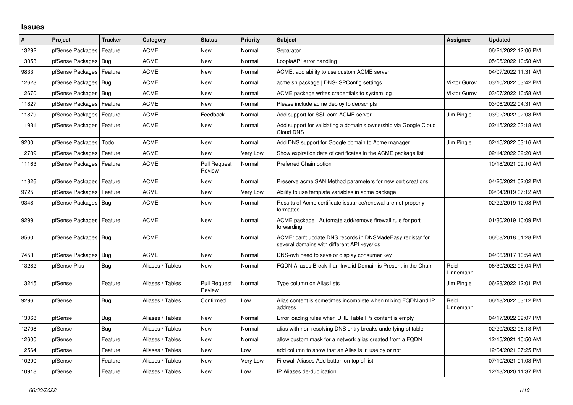## **Issues**

| #     | Project                    | <b>Tracker</b> | Category         | <b>Status</b>                 | <b>Priority</b> | <b>Subject</b>                                                                                            | Assignee            | Updated             |
|-------|----------------------------|----------------|------------------|-------------------------------|-----------------|-----------------------------------------------------------------------------------------------------------|---------------------|---------------------|
| 13292 | pfSense Packages           | Feature        | <b>ACME</b>      | <b>New</b>                    | Normal          | Separator                                                                                                 |                     | 06/21/2022 12:06 PM |
| 13053 | pfSense Packages           | Bug            | <b>ACME</b>      | <b>New</b>                    | Normal          | LoopiaAPI error handling                                                                                  |                     | 05/05/2022 10:58 AM |
| 9833  | pfSense Packages           | Feature        | <b>ACME</b>      | <b>New</b>                    | Normal          | ACME: add ability to use custom ACME server                                                               |                     | 04/07/2022 11:31 AM |
| 12623 | pfSense Packages           | Bug            | <b>ACME</b>      | <b>New</b>                    | Normal          | acme.sh package   DNS-ISPConfig settings                                                                  | <b>Viktor Gurov</b> | 03/10/2022 03:42 PM |
| 12670 | pfSense Packages   Bug     |                | <b>ACME</b>      | <b>New</b>                    | Normal          | ACME package writes credentials to system log                                                             | <b>Viktor Gurov</b> | 03/07/2022 10:58 AM |
| 11827 | pfSense Packages   Feature |                | <b>ACME</b>      | New                           | Normal          | Please include acme deploy folder/scripts                                                                 |                     | 03/06/2022 04:31 AM |
| 11879 | pfSense Packages           | Feature        | <b>ACME</b>      | Feedback                      | Normal          | Add support for SSL.com ACME server                                                                       | Jim Pingle          | 03/02/2022 02:03 PM |
| 11931 | pfSense Packages   Feature |                | <b>ACME</b>      | <b>New</b>                    | Normal          | Add support for validating a domain's ownership via Google Cloud<br>Cloud DNS                             |                     | 02/15/2022 03:18 AM |
| 9200  | pfSense Packages           | Todo           | <b>ACME</b>      | <b>New</b>                    | Normal          | Add DNS support for Google domain to Acme manager                                                         | Jim Pingle          | 02/15/2022 03:16 AM |
| 12789 | pfSense Packages           | Feature        | <b>ACME</b>      | <b>New</b>                    | Very Low        | Show expiration date of certificates in the ACME package list                                             |                     | 02/14/2022 09:20 AM |
| 11163 | pfSense Packages           | Feature        | <b>ACME</b>      | Pull Request<br>Review        | Normal          | Preferred Chain option                                                                                    |                     | 10/18/2021 09:10 AM |
| 11826 | pfSense Packages           | Feature        | <b>ACME</b>      | <b>New</b>                    | Normal          | Preserve acme SAN Method parameters for new cert creations                                                |                     | 04/20/2021 02:02 PM |
| 9725  | pfSense Packages           | Feature        | <b>ACME</b>      | <b>New</b>                    | Very Low        | Ability to use template variables in acme package                                                         |                     | 09/04/2019 07:12 AM |
| 9348  | pfSense Packages   Bug     |                | <b>ACME</b>      | <b>New</b>                    | Normal          | Results of Acme certificate issuance/renewal are not properly<br>formatted                                |                     | 02/22/2019 12:08 PM |
| 9299  | pfSense Packages   Feature |                | <b>ACME</b>      | <b>New</b>                    | Normal          | ACME package: Automate add/remove firewall rule for port<br>forwarding                                    |                     | 01/30/2019 10:09 PM |
| 8560  | pfSense Packages   Bug     |                | <b>ACME</b>      | <b>New</b>                    | Normal          | ACME: can't update DNS records in DNSMadeEasy registar for<br>several domains with different API keys/ids |                     | 06/08/2018 01:28 PM |
| 7453  | pfSense Packages           | Bug            | <b>ACME</b>      | New                           | Normal          | DNS-ovh need to save or display consumer key                                                              |                     | 04/06/2017 10:54 AM |
| 13282 | pfSense Plus               | Bug            | Aliases / Tables | <b>New</b>                    | Normal          | FQDN Aliases Break if an Invalid Domain is Present in the Chain                                           | Reid<br>Linnemann   | 06/30/2022 05:04 PM |
| 13245 | pfSense                    | Feature        | Aliases / Tables | <b>Pull Request</b><br>Review | Normal          | Type column on Alias lists                                                                                | Jim Pingle          | 06/28/2022 12:01 PM |
| 9296  | pfSense                    | Bug            | Aliases / Tables | Confirmed                     | Low             | Alias content is sometimes incomplete when mixing FQDN and IP<br>address                                  | Reid<br>Linnemann   | 06/18/2022 03:12 PM |
| 13068 | pfSense                    | Bug            | Aliases / Tables | <b>New</b>                    | Normal          | Error loading rules when URL Table IPs content is empty                                                   |                     | 04/17/2022 09:07 PM |
| 12708 | pfSense                    | Bug            | Aliases / Tables | <b>New</b>                    | Normal          | alias with non resolving DNS entry breaks underlying pf table                                             |                     | 02/20/2022 06:13 PM |
| 12600 | pfSense                    | Feature        | Aliases / Tables | <b>New</b>                    | Normal          | allow custom mask for a network alias created from a FQDN                                                 |                     | 12/15/2021 10:50 AM |
| 12564 | pfSense                    | Feature        | Aliases / Tables | <b>New</b>                    | Low             | add column to show that an Alias is in use by or not                                                      |                     | 12/04/2021 07:25 PM |
| 10290 | pfSense                    | Feature        | Aliases / Tables | <b>New</b>                    | Very Low        | Firewall Aliases Add button on top of list                                                                |                     | 07/10/2021 01:03 PM |
| 10918 | pfSense                    | Feature        | Aliases / Tables | <b>New</b>                    | Low             | IP Aliases de-duplication                                                                                 |                     | 12/13/2020 11:37 PM |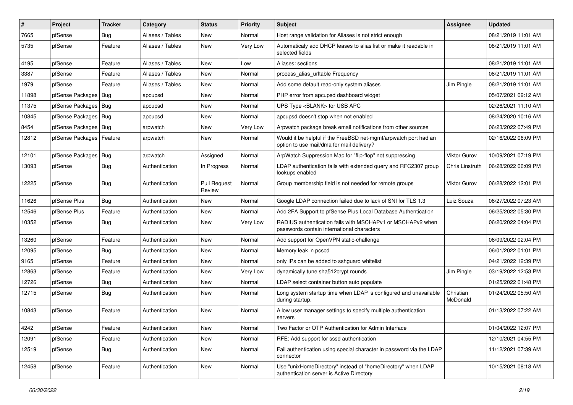| $\vert$ # | Project          | <b>Tracker</b> | Category         | <b>Status</b>                 | <b>Priority</b> | <b>Subject</b>                                                                                                | Assignee              | <b>Updated</b>      |
|-----------|------------------|----------------|------------------|-------------------------------|-----------------|---------------------------------------------------------------------------------------------------------------|-----------------------|---------------------|
| 7665      | pfSense          | <b>Bug</b>     | Aliases / Tables | New                           | Normal          | Host range validation for Aliases is not strict enough                                                        |                       | 08/21/2019 11:01 AM |
| 5735      | pfSense          | Feature        | Aliases / Tables | New                           | Very Low        | Automaticaly add DHCP leases to alias list or make it readable in<br>selected fields                          |                       | 08/21/2019 11:01 AM |
| 4195      | pfSense          | Feature        | Aliases / Tables | <b>New</b>                    | Low             | Aliases: sections                                                                                             |                       | 08/21/2019 11:01 AM |
| 3387      | pfSense          | Feature        | Aliases / Tables | New                           | Normal          | process alias urltable Frequency                                                                              |                       | 08/21/2019 11:01 AM |
| 1979      | pfSense          | Feature        | Aliases / Tables | <b>New</b>                    | Normal          | Add some default read-only system aliases                                                                     | Jim Pingle            | 08/21/2019 11:01 AM |
| 11898     | pfSense Packages | Bug            | apcupsd          | New                           | Normal          | PHP error from apcupsd dashboard widget                                                                       |                       | 05/07/2021 09:12 AM |
| 11375     | pfSense Packages | Bug            | apcupsd          | New                           | Normal          | UPS Type <blank> for USB APC</blank>                                                                          |                       | 02/26/2021 11:10 AM |
| 10845     | pfSense Packages | Bug            | apcupsd          | New                           | Normal          | apcupsd doesn't stop when not enabled                                                                         |                       | 08/24/2020 10:16 AM |
| 8454      | pfSense Packages | <b>Bug</b>     | arpwatch         | New                           | Very Low        | Arpwatch package break email notifications from other sources                                                 |                       | 06/23/2022 07:49 PM |
| 12812     | pfSense Packages | Feature        | arpwatch         | New                           | Normal          | Would it be helpful if the FreeBSD net-mgmt/arpwatch port had an<br>option to use mail/dma for mail delivery? |                       | 02/16/2022 06:09 PM |
| 12101     | pfSense Packages | <b>Bug</b>     | arpwatch         | Assigned                      | Normal          | ArpWatch Suppression Mac for "flip-flop" not suppressing                                                      | Viktor Gurov          | 10/09/2021 07:19 PM |
| 13093     | pfSense          | Bug            | Authentication   | In Progress                   | Normal          | LDAP authentication fails with extended query and RFC2307 group<br>lookups enabled                            | Chris Linstruth       | 06/28/2022 06:09 PM |
| 12225     | pfSense          | Bug            | Authentication   | <b>Pull Request</b><br>Review | Normal          | Group membership field is not needed for remote groups                                                        | Viktor Gurov          | 06/28/2022 12:01 PM |
| 11626     | pfSense Plus     | <b>Bug</b>     | Authentication   | <b>New</b>                    | Normal          | Google LDAP connection failed due to lack of SNI for TLS 1.3                                                  | Luiz Souza            | 06/27/2022 07:23 AM |
| 12546     | pfSense Plus     | Feature        | Authentication   | New                           | Normal          | Add 2FA Support to pfSense Plus Local Database Authentication                                                 |                       | 06/25/2022 05:30 PM |
| 10352     | pfSense          | <b>Bug</b>     | Authentication   | New                           | Very Low        | RADIUS authentication fails with MSCHAPv1 or MSCHAPv2 when<br>passwords contain international characters      |                       | 06/20/2022 04:04 PM |
| 13260     | pfSense          | Feature        | Authentication   | <b>New</b>                    | Normal          | Add support for OpenVPN static-challenge                                                                      |                       | 06/09/2022 02:04 PM |
| 12095     | pfSense          | Bug            | Authentication   | New                           | Normal          | Memory leak in pcscd                                                                                          |                       | 06/01/2022 01:01 PM |
| 9165      | pfSense          | Feature        | Authentication   | <b>New</b>                    | Normal          | only IPs can be added to sshguard whitelist                                                                   |                       | 04/21/2022 12:39 PM |
| 12863     | pfSense          | Feature        | Authentication   | New                           | Very Low        | dynamically tune sha512crypt rounds                                                                           | Jim Pingle            | 03/19/2022 12:53 PM |
| 12726     | pfSense          | Bug            | Authentication   | New                           | Normal          | LDAP select container button auto populate                                                                    |                       | 01/25/2022 01:48 PM |
| 12715     | pfSense          | <b>Bug</b>     | Authentication   | New                           | Normal          | Long system startup time when LDAP is configured and unavailable<br>during startup.                           | Christian<br>McDonald | 01/24/2022 05:50 AM |
| 10843     | pfSense          | Feature        | Authentication   | New                           | Normal          | Allow user manager settings to specify multiple authentication<br>servers                                     |                       | 01/13/2022 07:22 AM |
| 4242      | pfSense          | Feature        | Authentication   | New                           | Normal          | Two Factor or OTP Authentication for Admin Interface                                                          |                       | 01/04/2022 12:07 PM |
| 12091     | pfSense          | Feature        | Authentication   | New                           | Normal          | RFE: Add support for sssd authentication                                                                      |                       | 12/10/2021 04:55 PM |
| 12519     | pfSense          | <b>Bug</b>     | Authentication   | New                           | Normal          | Fail authentication using special character in password via the LDAP<br>connector                             |                       | 11/12/2021 07:39 AM |
| 12458     | pfSense          | Feature        | Authentication   | New                           | Normal          | Use "unixHomeDirectory" instead of "homeDirectory" when LDAP<br>authentication server is Active Directory     |                       | 10/15/2021 08:18 AM |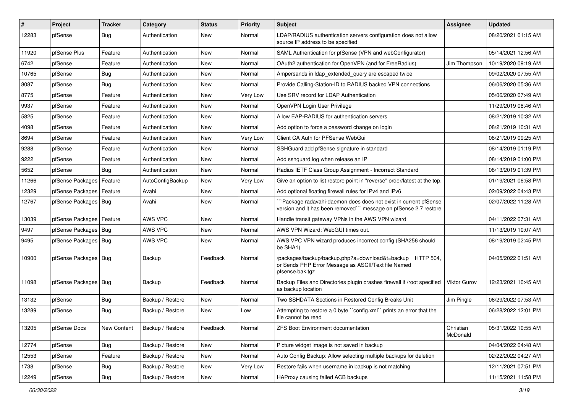| $\vert$ # | Project                    | <b>Tracker</b> | Category         | <b>Status</b> | <b>Priority</b> | Subject                                                                                                                             | <b>Assignee</b>       | <b>Updated</b>      |
|-----------|----------------------------|----------------|------------------|---------------|-----------------|-------------------------------------------------------------------------------------------------------------------------------------|-----------------------|---------------------|
| 12283     | pfSense                    | <b>Bug</b>     | Authentication   | New           | Normal          | LDAP/RADIUS authentication servers configuration does not allow<br>source IP address to be specified                                |                       | 08/20/2021 01:15 AM |
| 11920     | pfSense Plus               | Feature        | Authentication   | <b>New</b>    | Normal          | SAML Authentication for pfSense (VPN and webConfigurator)                                                                           |                       | 05/14/2021 12:56 AM |
| 6742      | pfSense                    | Feature        | Authentication   | New           | Normal          | OAuth2 authentication for OpenVPN (and for FreeRadius)                                                                              | Jim Thompson          | 10/19/2020 09:19 AM |
| 10765     | pfSense                    | <b>Bug</b>     | Authentication   | New           | Normal          | Ampersands in Idap extended query are escaped twice                                                                                 |                       | 09/02/2020 07:55 AM |
| 8087      | pfSense                    | <b>Bug</b>     | Authentication   | <b>New</b>    | Normal          | Provide Calling-Station-ID to RADIUS backed VPN connections                                                                         |                       | 06/06/2020 05:36 AM |
| 8775      | pfSense                    | Feature        | Authentication   | New           | Very Low        | Use SRV record for LDAP Authentication                                                                                              |                       | 05/06/2020 07:49 AM |
| 9937      | pfSense                    | Feature        | Authentication   | <b>New</b>    | Normal          | OpenVPN Login User Privilege                                                                                                        |                       | 11/29/2019 08:46 AM |
| 5825      | pfSense                    | Feature        | Authentication   | New           | Normal          | Allow EAP-RADIUS for authentication servers                                                                                         |                       | 08/21/2019 10:32 AM |
| 4098      | pfSense                    | Feature        | Authentication   | <b>New</b>    | Normal          | Add option to force a password change on login                                                                                      |                       | 08/21/2019 10:31 AM |
| 8694      | pfSense                    | Feature        | Authentication   | New           | Very Low        | Client CA Auth for PFSense WebGui                                                                                                   |                       | 08/21/2019 09:25 AM |
| 9288      | pfSense                    | Feature        | Authentication   | <b>New</b>    | Normal          | SSHGuard add pfSense signature in standard                                                                                          |                       | 08/14/2019 01:19 PM |
| 9222      | pfSense                    | Feature        | Authentication   | New           | Normal          | Add sshguard log when release an IP                                                                                                 |                       | 08/14/2019 01:00 PM |
| 5652      | pfSense                    | Bug            | Authentication   | New           | Normal          | Radius IETF Class Group Assignment - Incorrect Standard                                                                             |                       | 08/13/2019 01:39 PM |
| 11266     | pfSense Packages           | Feature        | AutoConfigBackup | <b>New</b>    | Very Low        | Give an option to list restore point in "reverse" order/latest at the top.                                                          |                       | 01/19/2021 06:58 PM |
| 12329     | pfSense Packages           | Feature        | Avahi            | New           | Normal          | Add optional floating firewall rules for IPv4 and IPv6                                                                              |                       | 02/09/2022 04:43 PM |
| 12767     | pfSense Packages   Bug     |                | Avahi            | New           | Normal          | Package radavahi-daemon does does not exist in current pfSense<br>version and it has been removed"" message on pfSense 2.7 restore  |                       | 02/07/2022 11:28 AM |
| 13039     | pfSense Packages   Feature |                | AWS VPC          | New           | Normal          | Handle transit gateway VPNs in the AWS VPN wizard                                                                                   |                       | 04/11/2022 07:31 AM |
| 9497      | pfSense Packages   Bug     |                | AWS VPC          | New           | Normal          | AWS VPN Wizard: WebGUI times out.                                                                                                   |                       | 11/13/2019 10:07 AM |
| 9495      | pfSense Packages   Bug     |                | AWS VPC          | <b>New</b>    | Normal          | AWS VPC VPN wizard produces incorrect config (SHA256 should<br>be SHA1)                                                             |                       | 08/19/2019 02:45 PM |
| 10900     | pfSense Packages   Bug     |                | Backup           | Feedback      | Normal          | /packages/backup/backup.php?a=download&t=backup HTTP 504,<br>or Sends PHP Error Message as ASCII/Text file Named<br>pfsense.bak.tgz |                       | 04/05/2022 01:51 AM |
| 11098     | pfSense Packages   Bug     |                | Backup           | Feedback      | Normal          | Backup Files and Directories plugin crashes firewall if /root specified<br>as backup location                                       | Viktor Gurov          | 12/23/2021 10:45 AM |
| 13132     | pfSense                    | <b>Bug</b>     | Backup / Restore | New           | Normal          | Two SSHDATA Sections in Restored Config Breaks Unit                                                                                 | Jim Pingle            | 06/29/2022 07:53 AM |
| 13289     | pfSense                    | <b>Bug</b>     | Backup / Restore | New           | Low             | Attempting to restore a 0 byte "config.xml" prints an error that the<br>file cannot be read                                         |                       | 06/28/2022 12:01 PM |
| 13205     | pfSense Docs               | New Content    | Backup / Restore | Feedback      | Normal          | ZFS Boot Environment documentation                                                                                                  | Christian<br>McDonald | 05/31/2022 10:55 AM |
| 12774     | pfSense                    | <b>Bug</b>     | Backup / Restore | New           | Normal          | Picture widget image is not saved in backup                                                                                         |                       | 04/04/2022 04:48 AM |
| 12553     | pfSense                    | Feature        | Backup / Restore | New           | Normal          | Auto Config Backup: Allow selecting multiple backups for deletion                                                                   |                       | 02/22/2022 04:27 AM |
| 1738      | pfSense                    | <b>Bug</b>     | Backup / Restore | New           | Very Low        | Restore fails when username in backup is not matching                                                                               |                       | 12/11/2021 07:51 PM |
| 12249     | pfSense                    | Bug            | Backup / Restore | New           | Normal          | HAProxy causing failed ACB backups                                                                                                  |                       | 11/15/2021 11:58 PM |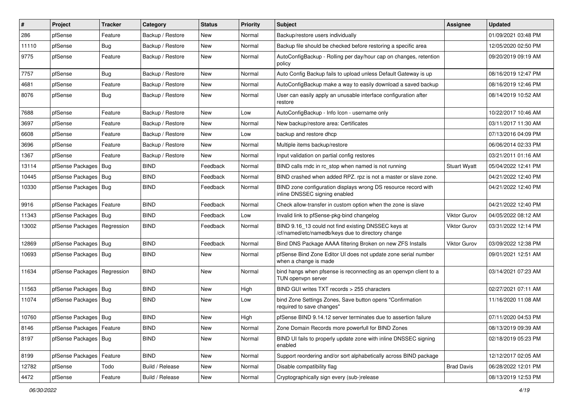| #     | Project                       | <b>Tracker</b> | Category         | <b>Status</b> | <b>Priority</b> | Subject                                                                                                  | <b>Assignee</b>     | <b>Updated</b>      |
|-------|-------------------------------|----------------|------------------|---------------|-----------------|----------------------------------------------------------------------------------------------------------|---------------------|---------------------|
| 286   | pfSense                       | Feature        | Backup / Restore | New           | Normal          | Backup/restore users individually                                                                        |                     | 01/09/2021 03:48 PM |
| 11110 | pfSense                       | Bug            | Backup / Restore | New           | Normal          | Backup file should be checked before restoring a specific area                                           |                     | 12/05/2020 02:50 PM |
| 9775  | pfSense                       | Feature        | Backup / Restore | New           | Normal          | AutoConfigBackup - Rolling per day/hour cap on changes, retention<br>policy                              |                     | 09/20/2019 09:19 AM |
| 7757  | pfSense                       | Bug            | Backup / Restore | <b>New</b>    | Normal          | Auto Config Backup fails to upload unless Default Gateway is up                                          |                     | 08/16/2019 12:47 PM |
| 4681  | pfSense                       | Feature        | Backup / Restore | New           | Normal          | AutoConfigBackup make a way to easily download a saved backup                                            |                     | 08/16/2019 12:46 PM |
| 8076  | pfSense                       | <b>Bug</b>     | Backup / Restore | New           | Normal          | User can easily apply an unusable interface configuration after<br>restore                               |                     | 08/14/2019 10:52 AM |
| 7688  | pfSense                       | Feature        | Backup / Restore | <b>New</b>    | Low             | AutoConfigBackup - Info Icon - username only                                                             |                     | 10/22/2017 10:46 AM |
| 3697  | pfSense                       | Feature        | Backup / Restore | New           | Normal          | New backup/restore area: Certificates                                                                    |                     | 03/11/2017 11:30 AM |
| 6608  | pfSense                       | Feature        | Backup / Restore | New           | Low             | backup and restore dhcp                                                                                  |                     | 07/13/2016 04:09 PM |
| 3696  | pfSense                       | Feature        | Backup / Restore | <b>New</b>    | Normal          | Multiple items backup/restore                                                                            |                     | 06/06/2014 02:33 PM |
| 1367  | pfSense                       | Feature        | Backup / Restore | <b>New</b>    | Normal          | Input validation on partial config restores                                                              |                     | 03/21/2011 01:16 AM |
| 13114 | pfSense Packages              | Bug            | <b>BIND</b>      | Feedback      | Normal          | BIND calls rndc in rc stop when named is not running                                                     | <b>Stuart Wyatt</b> | 05/04/2022 12:41 PM |
| 10445 | pfSense Packages   Bug        |                | <b>BIND</b>      | Feedback      | Normal          | BIND crashed when added RPZ, rpz is not a master or slave zone.                                          |                     | 04/21/2022 12:40 PM |
| 10330 | pfSense Packages   Bug        |                | <b>BIND</b>      | Feedback      | Normal          | BIND zone configuration displays wrong DS resource record with<br>inline DNSSEC signing enabled          |                     | 04/21/2022 12:40 PM |
| 9916  | pfSense Packages   Feature    |                | <b>BIND</b>      | Feedback      | Normal          | Check allow-transfer in custom option when the zone is slave                                             |                     | 04/21/2022 12:40 PM |
| 11343 | pfSense Packages   Bug        |                | <b>BIND</b>      | Feedback      | Low             | Invalid link to pfSense-pkg-bind changelog                                                               | <b>Viktor Gurov</b> | 04/05/2022 08:12 AM |
| 13002 | pfSense Packages   Regression |                | <b>BIND</b>      | Feedback      | Normal          | BIND 9.16_13 could not find existing DNSSEC keys at<br>/cf/named/etc/namedb/keys due to directory change | <b>Viktor Gurov</b> | 03/31/2022 12:14 PM |
| 12869 | pfSense Packages   Bug        |                | <b>BIND</b>      | Feedback      | Normal          | Bind DNS Package AAAA filtering Broken on new ZFS Installs                                               | <b>Viktor Gurov</b> | 03/09/2022 12:38 PM |
| 10693 | pfSense Packages   Bug        |                | <b>BIND</b>      | New           | Normal          | pfSense Bind Zone Editor UI does not update zone serial number<br>when a change is made                  |                     | 09/01/2021 12:51 AM |
| 11634 | pfSense Packages   Regression |                | <b>BIND</b>      | New           | Normal          | bind hangs when pfsense is reconnecting as an openypn client to a<br>TUN openvpn server                  |                     | 03/14/2021 07:23 AM |
| 11563 | pfSense Packages   Bug        |                | <b>BIND</b>      | New           | High            | BIND GUI writes TXT records > 255 characters                                                             |                     | 02/27/2021 07:11 AM |
| 11074 | pfSense Packages   Bug        |                | <b>BIND</b>      | New           | Low             | bind Zone Settings Zones, Save button opens "Confirmation<br>required to save changes"                   |                     | 11/16/2020 11:08 AM |
| 10760 | pfSense Packages   Bug        |                | <b>BIND</b>      | <b>New</b>    | High            | pfSense BIND 9.14.12 server terminates due to assertion failure                                          |                     | 07/11/2020 04:53 PM |
| 8146  | pfSense Packages   Feature    |                | <b>BIND</b>      | New           | Normal          | Zone Domain Records more powerfull for BIND Zones                                                        |                     | 08/13/2019 09:39 AM |
| 8197  | pfSense Packages   Bug        |                | <b>BIND</b>      | New           | Normal          | BIND UI fails to properly update zone with inline DNSSEC signing<br>enabled                              |                     | 02/18/2019 05:23 PM |
| 8199  | pfSense Packages   Feature    |                | <b>BIND</b>      | New           | Normal          | Support reordering and/or sort alphabetically across BIND package                                        |                     | 12/12/2017 02:05 AM |
| 12782 | pfSense                       | Todo           | Build / Release  | New           | Normal          | Disable compatibility flag                                                                               | <b>Brad Davis</b>   | 06/28/2022 12:01 PM |
| 4472  | pfSense                       | Feature        | Build / Release  | New           | Normal          | Cryptographically sign every (sub-)release                                                               |                     | 08/13/2019 12:53 PM |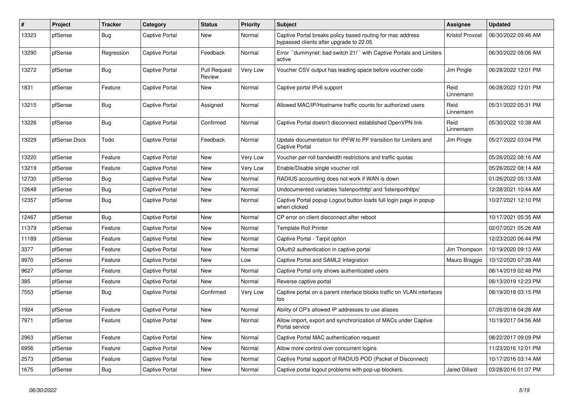| #     | <b>Project</b> | <b>Tracker</b> | Category       | <b>Status</b>                 | Priority | <b>Subject</b>                                                                                        | <b>Assignee</b>      | <b>Updated</b>      |
|-------|----------------|----------------|----------------|-------------------------------|----------|-------------------------------------------------------------------------------------------------------|----------------------|---------------------|
| 13323 | pfSense        | Bug            | Captive Portal | New                           | Normal   | Captive Portal breaks policy based routing for mac address<br>bypassed clients after upgrade to 22.05 | Kristof Provost      | 06/30/2022 09:46 AM |
| 13290 | pfSense        | Regression     | Captive Portal | Feedback                      | Normal   | Error "dummynet: bad switch 21!" with Captive Portals and Limiters<br>active                          |                      | 06/30/2022 08:06 AM |
| 13272 | pfSense        | <b>Bug</b>     | Captive Portal | <b>Pull Request</b><br>Review | Very Low | Voucher CSV output has leading space before voucher code                                              | Jim Pingle           | 06/28/2022 12:01 PM |
| 1831  | pfSense        | Feature        | Captive Portal | New                           | Normal   | Captive portal IPv6 support                                                                           | Reid<br>Linnemann    | 06/28/2022 12:01 PM |
| 13215 | pfSense        | Bug            | Captive Portal | Assigned                      | Normal   | Allowed MAC/IP/Hostname traffic counts for authorized users                                           | Reid<br>Linnemann    | 05/31/2022 05:31 PM |
| 13226 | pfSense        | Bug            | Captive Portal | Confirmed                     | Normal   | Captive Portal doesn't disconnect established OpenVPN link                                            | Reid<br>Linnemann    | 05/30/2022 10:38 AM |
| 13229 | pfSense Docs   | Todo           | Captive Portal | Feedback                      | Normal   | Update documentation for IPFW to PF transition for Limiters and<br>Captive Portal                     | Jim Pingle           | 05/27/2022 03:04 PM |
| 13220 | pfSense        | Feature        | Captive Portal | New                           | Very Low | Voucher per-roll bandwidth restrictions and traffic quotas                                            |                      | 05/26/2022 08:16 AM |
| 13219 | pfSense        | Feature        | Captive Portal | New                           | Very Low | Enable/Disable single voucher roll                                                                    |                      | 05/26/2022 08:14 AM |
| 12730 | pfSense        | <b>Bug</b>     | Captive Portal | New                           | Normal   | RADIUS accounting does not work if WAN is down                                                        |                      | 01/26/2022 05:13 AM |
| 12648 | pfSense        | Bug            | Captive Portal | New                           | Normal   | Undocumented variables 'listenporthttp' and 'listenporthttps'                                         |                      | 12/28/2021 10:44 AM |
| 12357 | pfSense        | Bug            | Captive Portal | New                           | Normal   | Captive Portal popup Logout button loads full login page in popup<br>when clicked                     |                      | 10/27/2021 12:10 PM |
| 12467 | pfSense        | Bug            | Captive Portal | <b>New</b>                    | Normal   | CP error on client disconnect after reboot                                                            |                      | 10/17/2021 05:35 AM |
| 11379 | pfSense        | Feature        | Captive Portal | <b>New</b>                    | Normal   | <b>Template Roll Printer</b>                                                                          |                      | 02/07/2021 05:26 AM |
| 11189 | pfSense        | Feature        | Captive Portal | <b>New</b>                    | Normal   | Captive Portal - Tarpit option                                                                        |                      | 12/23/2020 06:44 PM |
| 3377  | pfSense        | Feature        | Captive Portal | <b>New</b>                    | Normal   | OAuth2 authentication in captive portal                                                               | Jim Thompson         | 10/19/2020 09:13 AM |
| 9970  | pfSense        | Feature        | Captive Portal | <b>New</b>                    | Low      | Captive Portal and SAML2 Integration                                                                  | Mauro Braggio        | 10/12/2020 07:39 AM |
| 9627  | pfSense        | Feature        | Captive Portal | <b>New</b>                    | Normal   | Captive Portal only shows authenticated users                                                         |                      | 08/14/2019 02:48 PM |
| 385   | pfSense        | Feature        | Captive Portal | <b>New</b>                    | Normal   | Reverse captive portal                                                                                |                      | 08/13/2019 12:23 PM |
| 7553  | pfSense        | Bug            | Captive Portal | Confirmed                     | Very Low | Captive portal on a parent interface blocks traffic on VLAN interfaces<br>too                         |                      | 08/19/2018 03:15 PM |
| 1924  | pfSense        | Feature        | Captive Portal | New                           | Normal   | Ability of CP's allowed IP addresses to use aliases                                                   |                      | 07/26/2018 04:28 AM |
| 7971  | pfSense        | Feature        | Captive Portal | New                           | Normal   | Allow import, export and synchronization of MACs under Captive<br>Portal service                      |                      | 10/19/2017 04:56 AM |
| 2963  | pfSense        | Feature        | Captive Portal | <b>New</b>                    | Normal   | Captive Portal MAC authentication request                                                             |                      | 08/22/2017 09:09 PM |
| 6956  | pfSense        | Feature        | Captive Portal | <b>New</b>                    | Normal   | Allow more control over concurrent logins                                                             |                      | 11/23/2016 12:01 PM |
| 2573  | pfSense        | Feature        | Captive Portal | New                           | Normal   | Captive Portal support of RADIUS POD (Packet of Disconnect)                                           |                      | 10/17/2016 03:14 AM |
| 1675  | pfSense        | <b>Bug</b>     | Captive Portal | New                           | Normal   | Captive portal logout problems with pop-up blockers.                                                  | <b>Jared Dillard</b> | 03/28/2016 01:37 PM |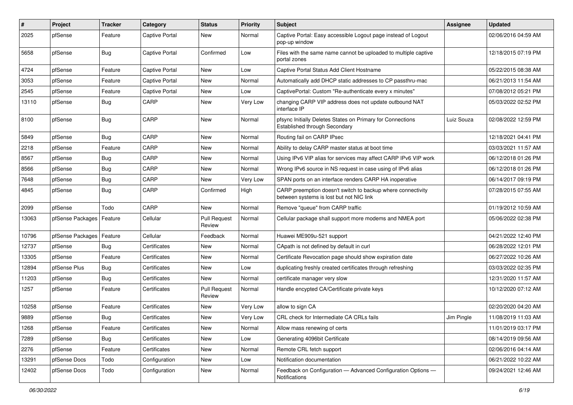| #     | Project                    | Tracker    | Category              | <b>Status</b>                 | <b>Priority</b> | Subject                                                                                                 | Assignee   | <b>Updated</b>      |
|-------|----------------------------|------------|-----------------------|-------------------------------|-----------------|---------------------------------------------------------------------------------------------------------|------------|---------------------|
| 2025  | pfSense                    | Feature    | Captive Portal        | New                           | Normal          | Captive Portal: Easy accessible Logout page instead of Logout<br>pop-up window                          |            | 02/06/2016 04:59 AM |
| 5658  | pfSense                    | Bug        | <b>Captive Portal</b> | Confirmed                     | Low             | Files with the same name cannot be uploaded to multiple captive<br>portal zones                         |            | 12/18/2015 07:19 PM |
| 4724  | pfSense                    | Feature    | <b>Captive Portal</b> | <b>New</b>                    | Low             | Captive Portal Status Add Client Hostname                                                               |            | 05/22/2015 08:38 AM |
| 3053  | pfSense                    | Feature    | Captive Portal        | New                           | Normal          | Automatically add DHCP static addresses to CP passthru-mac                                              |            | 06/21/2013 11:54 AM |
| 2545  | pfSense                    | Feature    | Captive Portal        | New                           | Low             | CaptivePortal: Custom "Re-authenticate every x minutes"                                                 |            | 07/08/2012 05:21 PM |
| 13110 | pfSense                    | <b>Bug</b> | CARP                  | <b>New</b>                    | Very Low        | changing CARP VIP address does not update outbound NAT<br>interface IP                                  |            | 05/03/2022 02:52 PM |
| 8100  | pfSense                    | <b>Bug</b> | CARP                  | New                           | Normal          | pfsync Initially Deletes States on Primary for Connections<br>Established through Secondary             | Luiz Souza | 02/08/2022 12:59 PM |
| 5849  | pfSense                    | <b>Bug</b> | CARP                  | New                           | Normal          | Routing fail on CARP IPsec                                                                              |            | 12/18/2021 04:41 PM |
| 2218  | pfSense                    | Feature    | CARP                  | New                           | Normal          | Ability to delay CARP master status at boot time                                                        |            | 03/03/2021 11:57 AM |
| 8567  | pfSense                    | <b>Bug</b> | CARP                  | New                           | Normal          | Using IPv6 VIP alias for services may affect CARP IPv6 VIP work                                         |            | 06/12/2018 01:26 PM |
| 8566  | pfSense                    | Bug        | CARP                  | New                           | Normal          | Wrong IPv6 source in NS request in case using of IPv6 alias                                             |            | 06/12/2018 01:26 PM |
| 7648  | pfSense                    | <b>Bug</b> | CARP                  | <b>New</b>                    | Very Low        | SPAN ports on an interface renders CARP HA inoperative                                                  |            | 06/14/2017 09:19 PM |
| 4845  | pfSense                    | <b>Bug</b> | CARP                  | Confirmed                     | High            | CARP preemption doesn't switch to backup where connectivity<br>between systems is lost but not NIC link |            | 07/28/2015 07:55 AM |
| 2099  | pfSense                    | Todo       | CARP                  | <b>New</b>                    | Normal          | Remove "queue" from CARP traffic                                                                        |            | 01/19/2012 10:59 AM |
| 13063 | pfSense Packages   Feature |            | Cellular              | <b>Pull Request</b><br>Review | Normal          | Cellular package shall support more modems and NMEA port                                                |            | 05/06/2022 02:38 PM |
| 10796 | pfSense Packages           | Feature    | Cellular              | Feedback                      | Normal          | Huawei ME909u-521 support                                                                               |            | 04/21/2022 12:40 PM |
| 12737 | pfSense                    | <b>Bug</b> | Certificates          | New                           | Normal          | CApath is not defined by default in curl                                                                |            | 06/28/2022 12:01 PM |
| 13305 | pfSense                    | Feature    | Certificates          | New                           | Normal          | Certificate Revocation page should show expiration date                                                 |            | 06/27/2022 10:26 AM |
| 12894 | pfSense Plus               | <b>Bug</b> | Certificates          | New                           | Low             | duplicating freshly created certificates through refreshing                                             |            | 03/03/2022 02:35 PM |
| 11203 | pfSense                    | <b>Bug</b> | Certificates          | <b>New</b>                    | Normal          | certificate manager very slow                                                                           |            | 12/31/2020 11:57 AM |
| 1257  | pfSense                    | Feature    | Certificates          | <b>Pull Request</b><br>Review | Normal          | Handle encypted CA/Certificate private keys                                                             |            | 10/12/2020 07:12 AM |
| 10258 | pfSense                    | Feature    | Certificates          | <b>New</b>                    | Very Low        | allow to sign CA                                                                                        |            | 02/20/2020 04:20 AM |
| 9889  | pfSense                    | <b>Bug</b> | Certificates          | <b>New</b>                    | Very Low        | CRL check for Intermediate CA CRLs fails                                                                | Jim Pingle | 11/08/2019 11:03 AM |
| 1268  | pfSense                    | Feature    | Certificates          | New                           | Normal          | Allow mass renewing of certs                                                                            |            | 11/01/2019 03:17 PM |
| 7289  | pfSense                    | Bug        | Certificates          | New                           | Low             | Generating 4096bit Certificate                                                                          |            | 08/14/2019 09:56 AM |
| 2276  | pfSense                    | Feature    | Certificates          | New                           | Normal          | Remote CRL fetch support                                                                                |            | 02/06/2016 04:14 AM |
| 13291 | pfSense Docs               | Todo       | Configuration         | New                           | Low             | Notification documentation                                                                              |            | 06/21/2022 10:22 AM |
| 12402 | pfSense Docs               | Todo       | Configuration         | New                           | Normal          | Feedback on Configuration - Advanced Configuration Options -<br>Notifications                           |            | 09/24/2021 12:46 AM |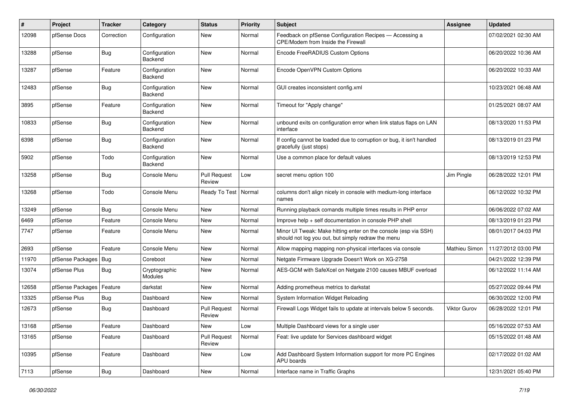| #     | Project                | <b>Tracker</b> | Category                 | <b>Status</b>                 | <b>Priority</b> | Subject                                                                                                               | Assignee            | <b>Updated</b>      |
|-------|------------------------|----------------|--------------------------|-------------------------------|-----------------|-----------------------------------------------------------------------------------------------------------------------|---------------------|---------------------|
| 12098 | pfSense Docs           | Correction     | Configuration            | New                           | Normal          | Feedback on pfSense Configuration Recipes - Accessing a<br>CPE/Modem from Inside the Firewall                         |                     | 07/02/2021 02:30 AM |
| 13288 | pfSense                | Bug            | Configuration<br>Backend | <b>New</b>                    | Normal          | Encode FreeRADIUS Custom Options                                                                                      |                     | 06/20/2022 10:36 AM |
| 13287 | pfSense                | Feature        | Configuration<br>Backend | <b>New</b>                    | Normal          | Encode OpenVPN Custom Options                                                                                         |                     | 06/20/2022 10:33 AM |
| 12483 | pfSense                | <b>Bug</b>     | Configuration<br>Backend | New                           | Normal          | GUI creates inconsistent config.xml                                                                                   |                     | 10/23/2021 06:48 AM |
| 3895  | pfSense                | Feature        | Configuration<br>Backend | <b>New</b>                    | Normal          | Timeout for "Apply change"                                                                                            |                     | 01/25/2021 08:07 AM |
| 10833 | pfSense                | <b>Bug</b>     | Configuration<br>Backend | <b>New</b>                    | Normal          | unbound exits on configuration error when link status flaps on LAN<br>interface                                       |                     | 08/13/2020 11:53 PM |
| 6398  | pfSense                | <b>Bug</b>     | Configuration<br>Backend | <b>New</b>                    | Normal          | If config cannot be loaded due to corruption or bug, it isn't handled<br>gracefully (just stops)                      |                     | 08/13/2019 01:23 PM |
| 5902  | pfSense                | Todo           | Configuration<br>Backend | <b>New</b>                    | Normal          | Use a common place for default values                                                                                 |                     | 08/13/2019 12:53 PM |
| 13258 | pfSense                | <b>Bug</b>     | Console Menu             | <b>Pull Request</b><br>Review | Low             | secret menu option 100                                                                                                | Jim Pingle          | 06/28/2022 12:01 PM |
| 13268 | pfSense                | Todo           | Console Menu             | Ready To Test                 | Normal          | columns don't align nicely in console with medium-long interface<br>names                                             |                     | 06/12/2022 10:32 PM |
| 13249 | pfSense                | <b>Bug</b>     | Console Menu             | <b>New</b>                    | Normal          | Running playback comands multiple times results in PHP error                                                          |                     | 06/06/2022 07:02 AM |
| 6469  | pfSense                | Feature        | Console Menu             | New                           | Normal          | Improve help + self documentation in console PHP shell                                                                |                     | 08/13/2019 01:23 PM |
| 7747  | pfSense                | Feature        | Console Menu             | New                           | Normal          | Minor UI Tweak: Make hitting enter on the console (esp via SSH)<br>should not log you out, but simply redraw the menu |                     | 08/01/2017 04:03 PM |
| 2693  | pfSense                | Feature        | Console Menu             | New                           | Normal          | Allow mapping mapping non-physical interfaces via console                                                             | Mathieu Simon       | 11/27/2012 03:00 PM |
| 11970 | pfSense Packages   Bug |                | Coreboot                 | New                           | Normal          | Netgate Firmware Upgrade Doesn't Work on XG-2758                                                                      |                     | 04/21/2022 12:39 PM |
| 13074 | pfSense Plus           | <b>Bug</b>     | Cryptographic<br>Modules | <b>New</b>                    | Normal          | AES-GCM with SafeXcel on Netgate 2100 causes MBUF overload                                                            |                     | 06/12/2022 11:14 AM |
| 12658 | pfSense Packages       | Feature        | darkstat                 | New                           | Normal          | Adding prometheus metrics to darkstat                                                                                 |                     | 05/27/2022 09:44 PM |
| 13325 | pfSense Plus           | <b>Bug</b>     | Dashboard                | <b>New</b>                    | Normal          | System Information Widget Reloading                                                                                   |                     | 06/30/2022 12:00 PM |
| 12673 | pfSense                | <b>Bug</b>     | Dashboard                | <b>Pull Request</b><br>Review | Normal          | Firewall Logs Widget fails to update at intervals below 5 seconds.                                                    | <b>Viktor Gurov</b> | 06/28/2022 12:01 PM |
| 13168 | pfSense                | Feature        | Dashboard                | New                           | Low             | Multiple Dashboard views for a single user                                                                            |                     | 05/16/2022 07:53 AM |
| 13165 | pfSense                | Feature        | Dashboard                | <b>Pull Request</b><br>Review | Normal          | Feat: live update for Services dashboard widget                                                                       |                     | 05/15/2022 01:48 AM |
| 10395 | pfSense                | Feature        | Dashboard                | New                           | Low             | Add Dashboard System Information support for more PC Engines<br>APU boards                                            |                     | 02/17/2022 01:02 AM |
| 7113  | pfSense                | Bug            | Dashboard                | New                           | Normal          | Interface name in Traffic Graphs                                                                                      |                     | 12/31/2021 05:40 PM |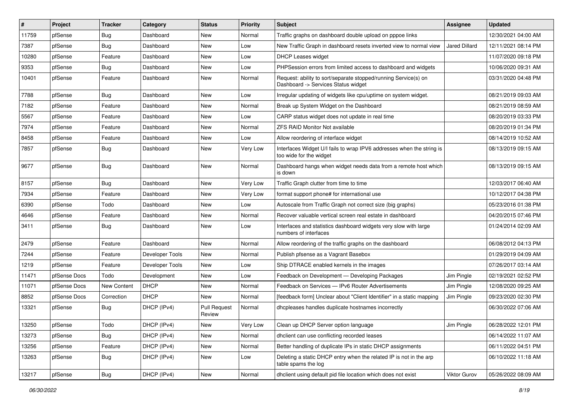| $\vert$ # | Project      | <b>Tracker</b> | Category        | <b>Status</b>                 | <b>Priority</b> | <b>Subject</b>                                                                                         | <b>Assignee</b>      | <b>Updated</b>      |
|-----------|--------------|----------------|-----------------|-------------------------------|-----------------|--------------------------------------------------------------------------------------------------------|----------------------|---------------------|
| 11759     | pfSense      | <b>Bug</b>     | Dashboard       | New                           | Normal          | Traffic graphs on dashboard double upload on pppoe links                                               |                      | 12/30/2021 04:00 AM |
| 7387      | pfSense      | <b>Bug</b>     | Dashboard       | <b>New</b>                    | Low             | New Traffic Graph in dashboard resets inverted view to normal view                                     | <b>Jared Dillard</b> | 12/11/2021 08:14 PM |
| 10280     | pfSense      | Feature        | Dashboard       | New                           | Low             | <b>DHCP Leases widget</b>                                                                              |                      | 11/07/2020 09:18 PM |
| 9353      | pfSense      | Bug            | Dashboard       | <b>New</b>                    | Low             | PHPSession errors from limited access to dashboard and widgets                                         |                      | 10/06/2020 09:31 AM |
| 10401     | pfSense      | Feature        | Dashboard       | <b>New</b>                    | Normal          | Request: ability to sort/separate stopped/running Service(s) on<br>Dashboard -> Services Status widget |                      | 03/31/2020 04:48 PM |
| 7788      | pfSense      | <b>Bug</b>     | Dashboard       | <b>New</b>                    | Low             | Irregular updating of widgets like cpu/uptime on system widget.                                        |                      | 08/21/2019 09:03 AM |
| 7182      | pfSense      | Feature        | Dashboard       | New                           | Normal          | Break up System Widget on the Dashboard                                                                |                      | 08/21/2019 08:59 AM |
| 5567      | pfSense      | Feature        | Dashboard       | <b>New</b>                    | Low             | CARP status widget does not update in real time                                                        |                      | 08/20/2019 03:33 PM |
| 7974      | pfSense      | Feature        | Dashboard       | <b>New</b>                    | Normal          | <b>ZFS RAID Monitor Not available</b>                                                                  |                      | 08/20/2019 01:34 PM |
| 8458      | pfSense      | Feature        | Dashboard       | New                           | Low             | Allow reordering of interface widget                                                                   |                      | 08/14/2019 10:52 AM |
| 7857      | pfSense      | <b>Bug</b>     | Dashboard       | <b>New</b>                    | Very Low        | Interfaces Widget U/I fails to wrap IPV6 addresses when the string is<br>too wide for the widget       |                      | 08/13/2019 09:15 AM |
| 9677      | pfSense      | Bug            | Dashboard       | New                           | Normal          | Dashboard hangs when widget needs data from a remote host which<br>is down                             |                      | 08/13/2019 09:15 AM |
| 8157      | pfSense      | Bug            | Dashboard       | New                           | <b>Very Low</b> | Traffic Graph clutter from time to time                                                                |                      | 12/03/2017 06:40 AM |
| 7934      | pfSense      | Feature        | Dashboard       | <b>New</b>                    | Very Low        | format support phone# for international use                                                            |                      | 10/12/2017 04:38 PM |
| 6390      | pfSense      | Todo           | Dashboard       | <b>New</b>                    | Low             | Autoscale from Traffic Graph not correct size (big graphs)                                             |                      | 05/23/2016 01:38 PM |
| 4646      | pfSense      | Feature        | Dashboard       | New                           | Normal          | Recover valuable vertical screen real estate in dashboard                                              |                      | 04/20/2015 07:46 PM |
| 3411      | pfSense      | <b>Bug</b>     | Dashboard       | New                           | Low             | Interfaces and statistics dashboard widgets very slow with large<br>numbers of interfaces              |                      | 01/24/2014 02:09 AM |
| 2479      | pfSense      | Feature        | Dashboard       | New                           | Normal          | Allow reordering of the traffic graphs on the dashboard                                                |                      | 06/08/2012 04:13 PM |
| 7244      | pfSense      | Feature        | Developer Tools | <b>New</b>                    | Normal          | Publish pfsense as a Vagrant Basebox                                                                   |                      | 01/29/2019 04:09 AM |
| 1219      | pfSense      | Feature        | Developer Tools | New                           | Low             | Ship DTRACE enabled kernels in the images                                                              |                      | 07/26/2017 03:14 AM |
| 11471     | pfSense Docs | Todo           | Development     | <b>New</b>                    | Low             | Feedback on Development - Developing Packages                                                          | Jim Pingle           | 02/19/2021 02:52 PM |
| 11071     | pfSense Docs | New Content    | <b>DHCP</b>     | <b>New</b>                    | Normal          | Feedback on Services - IPv6 Router Advertisements                                                      | Jim Pingle           | 12/08/2020 09:25 AM |
| 8852      | pfSense Docs | Correction     | <b>DHCP</b>     | <b>New</b>                    | Normal          | [feedback form] Unclear about "Client Identifier" in a static mapping                                  | Jim Pingle           | 09/23/2020 02:30 PM |
| 13321     | pfSense      | Bug            | DHCP (IPv4)     | <b>Pull Request</b><br>Review | Normal          | dhcpleases handles duplicate hostnames incorrectly                                                     |                      | 06/30/2022 07:06 AM |
| 13250     | pfSense      | Todo           | DHCP (IPv4)     | New                           | Very Low        | Clean up DHCP Server option language                                                                   | Jim Pingle           | 06/28/2022 12:01 PM |
| 13273     | pfSense      | <b>Bug</b>     | DHCP (IPv4)     | New                           | Normal          | dhclient can use conflicting recorded leases                                                           |                      | 06/14/2022 11:07 AM |
| 13256     | pfSense      | Feature        | DHCP (IPv4)     | New                           | Normal          | Better handling of duplicate IPs in static DHCP assignments                                            |                      | 06/11/2022 04:51 PM |
| 13263     | pfSense      | <b>Bug</b>     | DHCP (IPv4)     | New                           | Low             | Deleting a static DHCP entry when the related IP is not in the arp<br>table spams the log              |                      | 06/10/2022 11:18 AM |
| 13217     | pfSense      | Bug            | DHCP (IPv4)     | New                           | Normal          | dhclient using default pid file location which does not exist                                          | Viktor Gurov         | 05/26/2022 08:09 AM |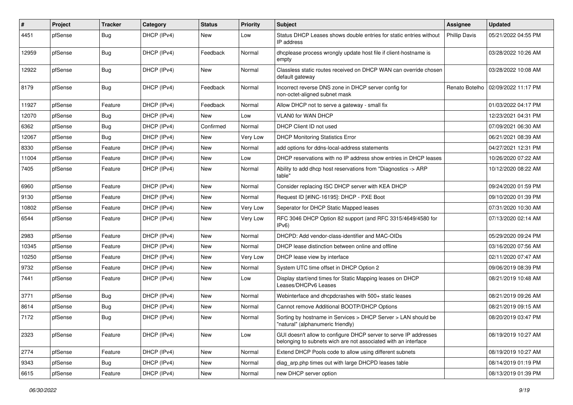| #     | Project | Tracker    | Category    | <b>Status</b> | <b>Priority</b> | Subject                                                                                                                            | Assignee             | <b>Updated</b>                       |
|-------|---------|------------|-------------|---------------|-----------------|------------------------------------------------------------------------------------------------------------------------------------|----------------------|--------------------------------------|
| 4451  | pfSense | <b>Bug</b> | DHCP (IPv4) | New           | Low             | Status DHCP Leases shows double entries for static entries without<br>IP address                                                   | <b>Phillip Davis</b> | 05/21/2022 04:55 PM                  |
| 12959 | pfSense | <b>Bug</b> | DHCP (IPv4) | Feedback      | Normal          | dhcplease process wrongly update host file if client-hostname is<br>empty                                                          |                      | 03/28/2022 10:26 AM                  |
| 12922 | pfSense | <b>Bug</b> | DHCP (IPv4) | <b>New</b>    | Normal          | Classless static routes received on DHCP WAN can override chosen<br>default gateway                                                |                      | 03/28/2022 10:08 AM                  |
| 8179  | pfSense | Bug        | DHCP (IPv4) | Feedback      | Normal          | Incorrect reverse DNS zone in DHCP server config for<br>non-octet-aligned subnet mask                                              |                      | Renato Botelho   02/09/2022 11:17 PM |
| 11927 | pfSense | Feature    | DHCP (IPv4) | Feedback      | Normal          | Allow DHCP not to serve a gateway - small fix                                                                                      |                      | 01/03/2022 04:17 PM                  |
| 12070 | pfSense | <b>Bug</b> | DHCP (IPv4) | <b>New</b>    | Low             | <b>VLAN0 for WAN DHCP</b>                                                                                                          |                      | 12/23/2021 04:31 PM                  |
| 6362  | pfSense | <b>Bug</b> | DHCP (IPv4) | Confirmed     | Normal          | DHCP Client ID not used                                                                                                            |                      | 07/09/2021 06:30 AM                  |
| 12067 | pfSense | <b>Bug</b> | DHCP (IPv4) | <b>New</b>    | Very Low        | <b>DHCP Monitoring Statistics Error</b>                                                                                            |                      | 06/21/2021 08:39 AM                  |
| 8330  | pfSense | Feature    | DHCP (IPv4) | <b>New</b>    | Normal          | add options for ddns-local-address statements                                                                                      |                      | 04/27/2021 12:31 PM                  |
| 11004 | pfSense | Feature    | DHCP (IPv4) | New           | Low             | DHCP reservations with no IP address show entries in DHCP leases                                                                   |                      | 10/26/2020 07:22 AM                  |
| 7405  | pfSense | Feature    | DHCP (IPv4) | New           | Normal          | Ability to add dhcp host reservations from "Diagnostics -> ARP<br>table"                                                           |                      | 10/12/2020 08:22 AM                  |
| 6960  | pfSense | Feature    | DHCP (IPv4) | <b>New</b>    | Normal          | Consider replacing ISC DHCP server with KEA DHCP                                                                                   |                      | 09/24/2020 01:59 PM                  |
| 9130  | pfSense | Feature    | DHCP (IPv4) | <b>New</b>    | Normal          | Request ID [#INC-16195]: DHCP - PXE Boot                                                                                           |                      | 09/10/2020 01:39 PM                  |
| 10802 | pfSense | Feature    | DHCP (IPv4) | New           | Very Low        | Seperator for DHCP Static Mapped leases                                                                                            |                      | 07/31/2020 10:30 AM                  |
| 6544  | pfSense | Feature    | DHCP (IPv4) | New           | Very Low        | RFC 3046 DHCP Option 82 support (and RFC 3315/4649/4580 for<br>IPv6)                                                               |                      | 07/13/2020 02:14 AM                  |
| 2983  | pfSense | Feature    | DHCP (IPv4) | <b>New</b>    | Normal          | DHCPD: Add vendor-class-identifier and MAC-OIDs                                                                                    |                      | 05/29/2020 09:24 PM                  |
| 10345 | pfSense | Feature    | DHCP (IPv4) | New           | Normal          | DHCP lease distinction between online and offline                                                                                  |                      | 03/16/2020 07:56 AM                  |
| 10250 | pfSense | Feature    | DHCP (IPv4) | New           | Very Low        | DHCP lease view by interface                                                                                                       |                      | 02/11/2020 07:47 AM                  |
| 9732  | pfSense | Feature    | DHCP (IPv4) | New           | Normal          | System UTC time offset in DHCP Option 2                                                                                            |                      | 09/06/2019 08:39 PM                  |
| 7441  | pfSense | Feature    | DHCP (IPv4) | New           | Low             | Display start/end times for Static Mapping leases on DHCP<br>Leases/DHCPv6 Leases                                                  |                      | 08/21/2019 10:48 AM                  |
| 3771  | pfSense | <b>Bug</b> | DHCP (IPv4) | <b>New</b>    | Normal          | Webinterface and dhcpdcrashes with 500+ static leases                                                                              |                      | 08/21/2019 09:26 AM                  |
| 8614  | pfSense | <b>Bug</b> | DHCP (IPv4) | New           | Normal          | Cannot remove Additional BOOTP/DHCP Options                                                                                        |                      | 08/21/2019 09:15 AM                  |
| 7172  | pfSense | <b>Bug</b> | DHCP (IPv4) | New           | Normal          | Sorting by hostname in Services > DHCP Server > LAN should be<br>"natural" (alphanumeric friendly)                                 |                      | 08/20/2019 03:47 PM                  |
| 2323  | pfSense | Feature    | DHCP (IPv4) | New           | Low             | GUI doesn't allow to configure DHCP server to serve IP addresses<br>belonging to subnets wich are not associated with an interface |                      | 08/19/2019 10:27 AM                  |
| 2774  | pfSense | Feature    | DHCP (IPv4) | New           | Normal          | Extend DHCP Pools code to allow using different subnets                                                                            |                      | 08/19/2019 10:27 AM                  |
| 9343  | pfSense | <b>Bug</b> | DHCP (IPv4) | New           | Normal          | diag_arp.php times out with large DHCPD leases table                                                                               |                      | 08/14/2019 01:19 PM                  |
| 6615  | pfSense | Feature    | DHCP (IPv4) | New           | Normal          | new DHCP server option                                                                                                             |                      | 08/13/2019 01:39 PM                  |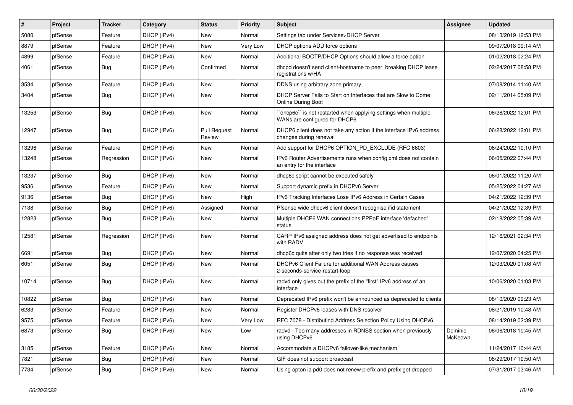| #     | Project | <b>Tracker</b> | Category    | <b>Status</b>                 | <b>Priority</b> | Subject                                                                                          | <b>Assignee</b>    | <b>Updated</b>      |
|-------|---------|----------------|-------------|-------------------------------|-----------------|--------------------------------------------------------------------------------------------------|--------------------|---------------------|
| 5080  | pfSense | Feature        | DHCP (IPv4) | New                           | Normal          | Settings tab under Services>DHCP Server                                                          |                    | 08/13/2019 12:53 PM |
| 8879  | pfSense | Feature        | DHCP (IPv4) | <b>New</b>                    | <b>Very Low</b> | DHCP options ADD force options                                                                   |                    | 09/07/2018 09:14 AM |
| 4899  | pfSense | Feature        | DHCP (IPv4) | New                           | Normal          | Additional BOOTP/DHCP Options should allow a force option                                        |                    | 01/02/2018 02:24 PM |
| 4061  | pfSense | <b>Bug</b>     | DHCP (IPv4) | Confirmed                     | Normal          | dhcpd doesn't send client-hostname to peer, breaking DHCP lease<br>registrations w/HA            |                    | 02/24/2017 08:58 PM |
| 3534  | pfSense | Feature        | DHCP (IPv4) | New                           | Normal          | DDNS using arbitrary zone primary                                                                |                    | 07/08/2014 11:40 AM |
| 3404  | pfSense | Bug            | DHCP (IPv4) | New                           | Normal          | DHCP Server Fails to Start on Interfaces that are Slow to Come<br>Online During Boot             |                    | 02/11/2014 05:09 PM |
| 13253 | pfSense | <b>Bug</b>     | DHCP (IPv6) | New                           | Normal          | 'dhcp6c'' is not restarted when applying settings when multiple<br>WANs are configured for DHCP6 |                    | 06/28/2022 12:01 PM |
| 12947 | pfSense | Bug            | DHCP (IPv6) | <b>Pull Request</b><br>Review | Normal          | DHCP6 client does not take any action if the interface IPv6 address<br>changes during renewal    |                    | 06/28/2022 12:01 PM |
| 13296 | pfSense | Feature        | DHCP (IPv6) | <b>New</b>                    | Normal          | Add support for DHCP6 OPTION_PD_EXCLUDE (RFC 6603)                                               |                    | 06/24/2022 10:10 PM |
| 13248 | pfSense | Regression     | DHCP (IPv6) | New                           | Normal          | IPv6 Router Advertisements runs when config.xml does not contain<br>an entry for the interface   |                    | 06/05/2022 07:44 PM |
| 13237 | pfSense | Bug            | DHCP (IPv6) | <b>New</b>                    | Normal          | dhcp6c script cannot be executed safely                                                          |                    | 06/01/2022 11:20 AM |
| 9536  | pfSense | Feature        | DHCP (IPv6) | New                           | Normal          | Support dynamic prefix in DHCPv6 Server                                                          |                    | 05/25/2022 04:27 AM |
| 9136  | pfSense | Bug            | DHCP (IPv6) | New                           | High            | IPv6 Tracking Interfaces Lose IPv6 Address in Certain Cases                                      |                    | 04/21/2022 12:39 PM |
| 7138  | pfSense | <b>Bug</b>     | DHCP (IPv6) | Assigned                      | Normal          | Pfsense wide dhcpv6 client doesn't recognise if id statement                                     |                    | 04/21/2022 12:39 PM |
| 12823 | pfSense | Bug            | DHCP (IPv6) | New                           | Normal          | Multiple DHCP6 WAN connections PPPoE interface 'defached'<br>status                              |                    | 02/18/2022 05:39 AM |
| 12581 | pfSense | Regression     | DHCP (IPv6) | New                           | Normal          | CARP IPv6 assigned address does not get advertised to endpoints<br>with RADV                     |                    | 12/16/2021 02:34 PM |
| 6691  | pfSense | <b>Bug</b>     | DHCP (IPv6) | New                           | Normal          | dhcp6c quits after only two tries if no response was received                                    |                    | 12/07/2020 04:25 PM |
| 6051  | pfSense | <b>Bug</b>     | DHCP (IPv6) | <b>New</b>                    | Normal          | DHCPv6 Client Failure for additional WAN Address causes<br>2-seconds-service-restart-loop        |                    | 12/03/2020 01:08 AM |
| 10714 | pfSense | <b>Bug</b>     | DHCP (IPv6) | <b>New</b>                    | Normal          | radvd only gives out the prefix of the "first" IPv6 address of an<br>interface                   |                    | 10/06/2020 01:03 PM |
| 10822 | pfSense | Bug            | DHCP (IPv6) | <b>New</b>                    | Normal          | Deprecated IPv6 prefix won't be announced as deprecated to clients                               |                    | 08/10/2020 09:23 AM |
| 6283  | pfSense | Feature        | DHCP (IPv6) | New                           | Normal          | Register DHCPv6 leases with DNS resolver                                                         |                    | 08/21/2019 10:48 AM |
| 9575  | pfSense | Feature        | DHCP (IPv6) | <b>New</b>                    | Very Low        | RFC 7078 - Distributing Address Selection Policy Using DHCPv6                                    |                    | 08/14/2019 02:39 PM |
| 6873  | pfSense | Bug            | DHCP (IPv6) | New                           | Low             | radvd - Too many addresses in RDNSS section when previously<br>using DHCPv6                      | Dominic<br>McKeown | 06/06/2018 10:45 AM |
| 3185  | pfSense | Feature        | DHCP (IPv6) | New                           | Normal          | Accommodate a DHCPv6 failover-like mechanism                                                     |                    | 11/24/2017 10:44 AM |
| 7821  | pfSense | Bug            | DHCP (IPv6) | New                           | Normal          | GIF does not support broadcast                                                                   |                    | 08/29/2017 10:50 AM |
| 7734  | pfSense | Bug            | DHCP (IPv6) | New                           | Normal          | Using opton ia pd0 does not renew prefix and prefix get dropped                                  |                    | 07/31/2017 03:46 AM |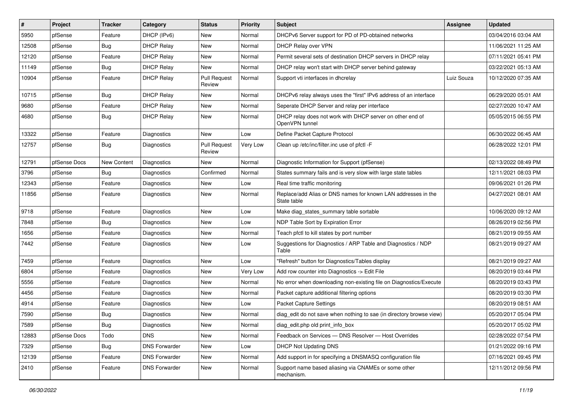| $\sharp$ | Project      | <b>Tracker</b> | Category             | <b>Status</b>                 | <b>Priority</b> | <b>Subject</b>                                                               | Assignee   | <b>Updated</b>      |
|----------|--------------|----------------|----------------------|-------------------------------|-----------------|------------------------------------------------------------------------------|------------|---------------------|
| 5950     | pfSense      | Feature        | DHCP (IPv6)          | <b>New</b>                    | Normal          | DHCPv6 Server support for PD of PD-obtained networks                         |            | 03/04/2016 03:04 AM |
| 12508    | pfSense      | Bug            | <b>DHCP Relay</b>    | New                           | Normal          | DHCP Relay over VPN                                                          |            | 11/06/2021 11:25 AM |
| 12120    | pfSense      | Feature        | <b>DHCP Relay</b>    | New                           | Normal          | Permit several sets of destination DHCP servers in DHCP relay                |            | 07/11/2021 05:41 PM |
| 11149    | pfSense      | <b>Bug</b>     | <b>DHCP Relay</b>    | <b>New</b>                    | Normal          | DHCP relay won't start with DHCP server behind gateway                       |            | 03/22/2021 05:13 AM |
| 10904    | pfSense      | Feature        | <b>DHCP Relay</b>    | <b>Pull Request</b><br>Review | Normal          | Support vti interfaces in dhcrelay                                           | Luiz Souza | 10/12/2020 07:35 AM |
| 10715    | pfSense      | <b>Bug</b>     | <b>DHCP Relay</b>    | <b>New</b>                    | Normal          | DHCPv6 relay always uses the "first" IPv6 address of an interface            |            | 06/29/2020 05:01 AM |
| 9680     | pfSense      | Feature        | <b>DHCP Relay</b>    | <b>New</b>                    | Normal          | Seperate DHCP Server and relay per interface                                 |            | 02/27/2020 10:47 AM |
| 4680     | pfSense      | <b>Bug</b>     | <b>DHCP Relay</b>    | New                           | Normal          | DHCP relay does not work with DHCP server on other end of<br>OpenVPN tunnel  |            | 05/05/2015 06:55 PM |
| 13322    | pfSense      | Feature        | <b>Diagnostics</b>   | <b>New</b>                    | Low             | Define Packet Capture Protocol                                               |            | 06/30/2022 06:45 AM |
| 12757    | pfSense      | Bug            | Diagnostics          | <b>Pull Request</b><br>Review | Very Low        | Clean up /etc/inc/filter.inc use of pfctl -F                                 |            | 06/28/2022 12:01 PM |
| 12791    | pfSense Docs | New Content    | Diagnostics          | New                           | Normal          | Diagnostic Information for Support (pfSense)                                 |            | 02/13/2022 08:49 PM |
| 3796     | pfSense      | <b>Bug</b>     | Diagnostics          | Confirmed                     | Normal          | States summary fails and is very slow with large state tables                |            | 12/11/2021 08:03 PM |
| 12343    | pfSense      | Feature        | <b>Diagnostics</b>   | <b>New</b>                    | Low             | Real time traffic monitoring                                                 |            | 09/06/2021 01:26 PM |
| 11856    | pfSense      | Feature        | Diagnostics          | New                           | Normal          | Replace/add Alias or DNS names for known LAN addresses in the<br>State table |            | 04/27/2021 08:01 AM |
| 9718     | pfSense      | Feature        | <b>Diagnostics</b>   | <b>New</b>                    | Low             | Make diag_states_summary table sortable                                      |            | 10/06/2020 09:12 AM |
| 7848     | pfSense      | Bug            | Diagnostics          | New                           | Low             | NDP Table Sort by Expiration Error                                           |            | 08/26/2019 02:56 PM |
| 1656     | pfSense      | Feature        | <b>Diagnostics</b>   | <b>New</b>                    | Normal          | Teach pfctl to kill states by port number                                    |            | 08/21/2019 09:55 AM |
| 7442     | pfSense      | Feature        | Diagnostics          | New                           | Low             | Suggestions for Diagnostics / ARP Table and Diagnostics / NDP<br>Table       |            | 08/21/2019 09:27 AM |
| 7459     | pfSense      | Feature        | <b>Diagnostics</b>   | <b>New</b>                    | Low             | "Refresh" button for Diagnostics/Tables display                              |            | 08/21/2019 09:27 AM |
| 6804     | pfSense      | Feature        | Diagnostics          | New                           | Very Low        | Add row counter into Diagnostics -> Edit File                                |            | 08/20/2019 03:44 PM |
| 5556     | pfSense      | Feature        | Diagnostics          | New                           | Normal          | No error when downloading non-existing file on Diagnostics/Execute           |            | 08/20/2019 03:43 PM |
| 4456     | pfSense      | Feature        | <b>Diagnostics</b>   | New                           | Normal          | Packet capture additional filtering options                                  |            | 08/20/2019 03:30 PM |
| 4914     | pfSense      | Feature        | Diagnostics          | New                           | Low             | Packet Capture Settings                                                      |            | 08/20/2019 08:51 AM |
| 7590     | pfSense      | Bug            | <b>Diagnostics</b>   | New                           | Normal          | diag_edit do not save when nothing to sae (in directory browse view)         |            | 05/20/2017 05:04 PM |
| 7589     | pfSense      | Bug            | Diagnostics          | New                           | Normal          | diag_edit.php old print_info_box                                             |            | 05/20/2017 05:02 PM |
| 12883    | pfSense Docs | Todo           | <b>DNS</b>           | New                           | Normal          | Feedback on Services - DNS Resolver - Host Overrides                         |            | 02/28/2022 07:54 PM |
| 7329     | pfSense      | <b>Bug</b>     | <b>DNS Forwarder</b> | New                           | Low             | <b>DHCP Not Updating DNS</b>                                                 |            | 01/21/2022 09:16 PM |
| 12139    | pfSense      | Feature        | <b>DNS Forwarder</b> | New                           | Normal          | Add support in for specifying a DNSMASQ configuration file                   |            | 07/16/2021 09:45 PM |
| 2410     | pfSense      | Feature        | <b>DNS Forwarder</b> | New                           | Normal          | Support name based aliasing via CNAMEs or some other<br>mechanism.           |            | 12/11/2012 09:56 PM |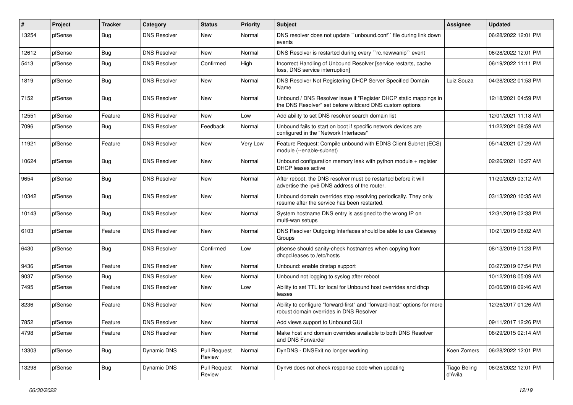| $\vert$ # | Project | <b>Tracker</b> | Category            | <b>Status</b>                 | <b>Priority</b> | Subject                                                                                                                       | <b>Assignee</b>                | <b>Updated</b>      |
|-----------|---------|----------------|---------------------|-------------------------------|-----------------|-------------------------------------------------------------------------------------------------------------------------------|--------------------------------|---------------------|
| 13254     | pfSense | Bug            | <b>DNS Resolver</b> | New                           | Normal          | DNS resolver does not update "unbound.conf" file during link down<br>events                                                   |                                | 06/28/2022 12:01 PM |
| 12612     | pfSense | <b>Bug</b>     | <b>DNS Resolver</b> | <b>New</b>                    | Normal          | DNS Resolver is restarted during every "rc.newwanip" event                                                                    |                                | 06/28/2022 12:01 PM |
| 5413      | pfSense | Bug            | <b>DNS Resolver</b> | Confirmed                     | High            | Incorrect Handling of Unbound Resolver [service restarts, cache<br>loss, DNS service interruption]                            |                                | 06/19/2022 11:11 PM |
| 1819      | pfSense | Bug            | <b>DNS Resolver</b> | <b>New</b>                    | Normal          | DNS Resolver Not Registering DHCP Server Specified Domain<br>Name                                                             | Luiz Souza                     | 04/28/2022 01:53 PM |
| 7152      | pfSense | Bug            | <b>DNS Resolver</b> | <b>New</b>                    | Normal          | Unbound / DNS Resolver issue if "Register DHCP static mappings in<br>the DNS Resolver" set before wildcard DNS custom options |                                | 12/18/2021 04:59 PM |
| 12551     | pfSense | Feature        | <b>DNS Resolver</b> | New                           | Low             | Add ability to set DNS resolver search domain list                                                                            |                                | 12/01/2021 11:18 AM |
| 7096      | pfSense | <b>Bug</b>     | <b>DNS Resolver</b> | Feedback                      | Normal          | Unbound fails to start on boot if specific network devices are<br>configured in the "Network Interfaces"                      |                                | 11/22/2021 08:59 AM |
| 11921     | pfSense | Feature        | <b>DNS Resolver</b> | New                           | Very Low        | Feature Request: Compile unbound with EDNS Client Subnet (ECS)<br>module (--enable-subnet)                                    |                                | 05/14/2021 07:29 AM |
| 10624     | pfSense | Bug            | <b>DNS Resolver</b> | New                           | Normal          | Unbound configuration memory leak with python module $+$ register<br>DHCP leases active                                       |                                | 02/26/2021 10:27 AM |
| 9654      | pfSense | Bug            | <b>DNS Resolver</b> | New                           | Normal          | After reboot, the DNS resolver must be restarted before it will<br>advertise the ipv6 DNS address of the router.              |                                | 11/20/2020 03:12 AM |
| 10342     | pfSense | <b>Bug</b>     | <b>DNS Resolver</b> | <b>New</b>                    | Normal          | Unbound domain overrides stop resolving periodically. They only<br>resume after the service has been restarted.               |                                | 03/13/2020 10:35 AM |
| 10143     | pfSense | Bug            | <b>DNS Resolver</b> | New                           | Normal          | System hostname DNS entry is assigned to the wrong IP on<br>multi-wan setups                                                  |                                | 12/31/2019 02:33 PM |
| 6103      | pfSense | Feature        | <b>DNS Resolver</b> | New                           | Normal          | DNS Resolver Outgoing Interfaces should be able to use Gateway<br>Groups                                                      |                                | 10/21/2019 08:02 AM |
| 6430      | pfSense | <b>Bug</b>     | <b>DNS Resolver</b> | Confirmed                     | Low             | pfsense should sanity-check hostnames when copying from<br>dhcpd.leases to /etc/hosts                                         |                                | 08/13/2019 01:23 PM |
| 9436      | pfSense | Feature        | <b>DNS Resolver</b> | New                           | Normal          | Unbound: enable dnstap support                                                                                                |                                | 03/27/2019 07:54 PM |
| 9037      | pfSense | <b>Bug</b>     | <b>DNS Resolver</b> | New                           | Normal          | Unbound not logging to syslog after reboot                                                                                    |                                | 10/12/2018 05:09 AM |
| 7495      | pfSense | Feature        | <b>DNS Resolver</b> | New                           | Low             | Ability to set TTL for local for Unbound host overrides and dhcp<br>leases                                                    |                                | 03/06/2018 09:46 AM |
| 8236      | pfSense | Feature        | <b>DNS Resolver</b> | New                           | Normal          | Ability to configure "forward-first" and "forward-host" options for more<br>robust domain overrides in DNS Resolver           |                                | 12/26/2017 01:26 AM |
| 7852      | pfSense | Feature        | <b>DNS Resolver</b> | New                           | Normal          | Add views support to Unbound GUI                                                                                              |                                | 09/11/2017 12:26 PM |
| 4798      | pfSense | Feature        | <b>DNS Resolver</b> | New                           | Normal          | Make host and domain overrides available to both DNS Resolver<br>and DNS Forwarder                                            |                                | 06/29/2015 02:14 AM |
| 13303     | pfSense | <b>Bug</b>     | Dynamic DNS         | <b>Pull Request</b><br>Review | Normal          | DynDNS - DNSExit no longer working                                                                                            | Koen Zomers                    | 06/28/2022 12:01 PM |
| 13298     | pfSense | <b>Bug</b>     | Dynamic DNS         | <b>Pull Request</b><br>Review | Normal          | Dynv6 does not check response code when updating                                                                              | <b>Tiago Beling</b><br>d'Avila | 06/28/2022 12:01 PM |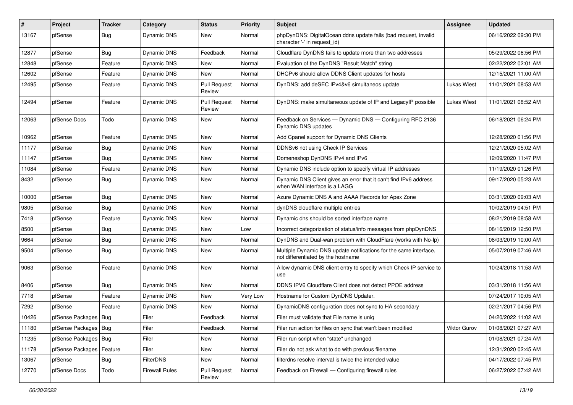| #     | Project                    | <b>Tracker</b> | Category              | <b>Status</b>                 | <b>Priority</b> | Subject                                                                                                 | Assignee     | <b>Updated</b>      |
|-------|----------------------------|----------------|-----------------------|-------------------------------|-----------------|---------------------------------------------------------------------------------------------------------|--------------|---------------------|
| 13167 | pfSense                    | <b>Bug</b>     | Dynamic DNS           | New                           | Normal          | phpDynDNS: DigitalOcean ddns update fails (bad request, invalid<br>character '-' in request id)         |              | 06/16/2022 09:30 PM |
| 12877 | pfSense                    | Bug            | Dynamic DNS           | Feedback                      | Normal          | Cloudflare DynDNS fails to update more than two addresses                                               |              | 05/29/2022 06:56 PM |
| 12848 | pfSense                    | Feature        | Dynamic DNS           | <b>New</b>                    | Normal          | Evaluation of the DynDNS "Result Match" string                                                          |              | 02/22/2022 02:01 AM |
| 12602 | pfSense                    | Feature        | Dynamic DNS           | New                           | Normal          | DHCPv6 should allow DDNS Client updates for hosts                                                       |              | 12/15/2021 11:00 AM |
| 12495 | pfSense                    | Feature        | Dynamic DNS           | <b>Pull Request</b><br>Review | Normal          | DynDNS: add deSEC IPv4&v6 simultaneos update                                                            | Lukas Wiest  | 11/01/2021 08:53 AM |
| 12494 | pfSense                    | Feature        | Dynamic DNS           | <b>Pull Request</b><br>Review | Normal          | DynDNS: make simultaneous update of IP and LegacyIP possible                                            | Lukas Wiest  | 11/01/2021 08:52 AM |
| 12063 | pfSense Docs               | Todo           | Dynamic DNS           | New                           | Normal          | Feedback on Services - Dynamic DNS - Configuring RFC 2136<br>Dynamic DNS updates                        |              | 06/18/2021 06:24 PM |
| 10962 | pfSense                    | Feature        | Dynamic DNS           | New                           | Normal          | Add Cpanel support for Dynamic DNS Clients                                                              |              | 12/28/2020 01:56 PM |
| 11177 | pfSense                    | <b>Bug</b>     | Dynamic DNS           | New                           | Normal          | DDNSv6 not using Check IP Services                                                                      |              | 12/21/2020 05:02 AM |
| 11147 | pfSense                    | Bug            | Dynamic DNS           | New                           | Normal          | Domeneshop DynDNS IPv4 and IPv6                                                                         |              | 12/09/2020 11:47 PM |
| 11084 | pfSense                    | Feature        | <b>Dynamic DNS</b>    | New                           | Normal          | Dynamic DNS include option to specify virtual IP addresses                                              |              | 11/19/2020 01:26 PM |
| 8432  | pfSense                    | <b>Bug</b>     | Dynamic DNS           | New                           | Normal          | Dynamic DNS Client gives an error that it can't find IPv6 address<br>when WAN interface is a LAGG       |              | 09/17/2020 05:23 AM |
| 10000 | pfSense                    | <b>Bug</b>     | Dynamic DNS           | New                           | Normal          | Azure Dynamic DNS A and AAAA Records for Apex Zone                                                      |              | 03/31/2020 09:03 AM |
| 9805  | pfSense                    | Bug            | Dynamic DNS           | New                           | Normal          | dynDNS cloudflare multiple entries                                                                      |              | 10/02/2019 04:51 PM |
| 7418  | pfSense                    | Feature        | Dynamic DNS           | <b>New</b>                    | Normal          | Dynamic dns should be sorted interface name                                                             |              | 08/21/2019 08:58 AM |
| 8500  | pfSense                    | <b>Bug</b>     | Dynamic DNS           | <b>New</b>                    | Low             | Incorrect categorization of status/info messages from phpDynDNS                                         |              | 08/16/2019 12:50 PM |
| 9664  | pfSense                    | <b>Bug</b>     | Dynamic DNS           | New                           | Normal          | DynDNS and Dual-wan problem with CloudFlare (works with No-Ip)                                          |              | 08/03/2019 10:00 AM |
| 9504  | pfSense                    | Bug            | Dynamic DNS           | New                           | Normal          | Multiple Dynamic DNS update notifications for the same interface,<br>not differentiated by the hostname |              | 05/07/2019 07:46 AM |
| 9063  | pfSense                    | Feature        | Dynamic DNS           | <b>New</b>                    | Normal          | Allow dynamic DNS client entry to specify which Check IP service to<br>use                              |              | 10/24/2018 11:53 AM |
| 8406  | pfSense                    | <b>Bug</b>     | Dynamic DNS           | New                           | Normal          | DDNS IPV6 Cloudflare Client does not detect PPOE address                                                |              | 03/31/2018 11:56 AM |
| 7718  | pfSense                    | Feature        | Dynamic DNS           | New                           | Very Low        | Hostname for Custom DynDNS Updater.                                                                     |              | 07/24/2017 10:05 AM |
| 7292  | pfSense                    | Feature        | Dynamic DNS           | <b>New</b>                    | Normal          | DynamicDNS configuration does not sync to HA secondary                                                  |              | 02/21/2017 04:56 PM |
| 10426 | pfSense Packages   Bug     |                | Filer                 | Feedback                      | Normal          | Filer must validate that File name is unig                                                              |              | 04/20/2022 11:02 AM |
| 11180 | pfSense Packages   Bug     |                | Filer                 | Feedback                      | Normal          | Filer run action for files on sync that wan't been modified                                             | Viktor Gurov | 01/08/2021 07:27 AM |
| 11235 | pfSense Packages   Bug     |                | Filer                 | New                           | Normal          | Filer run script when "state" unchanged                                                                 |              | 01/08/2021 07:24 AM |
| 11178 | pfSense Packages   Feature |                | Filer                 | New                           | Normal          | Filer do not ask what to do with previous filename                                                      |              | 12/31/2020 02:45 AM |
| 13067 | pfSense                    | <b>Bug</b>     | FilterDNS             | New                           | Normal          | filterdns resolve interval is twice the intended value                                                  |              | 04/17/2022 07:45 PM |
| 12770 | pfSense Docs               | Todo           | <b>Firewall Rules</b> | <b>Pull Request</b><br>Review | Normal          | Feedback on Firewall - Configuring firewall rules                                                       |              | 06/27/2022 07:42 AM |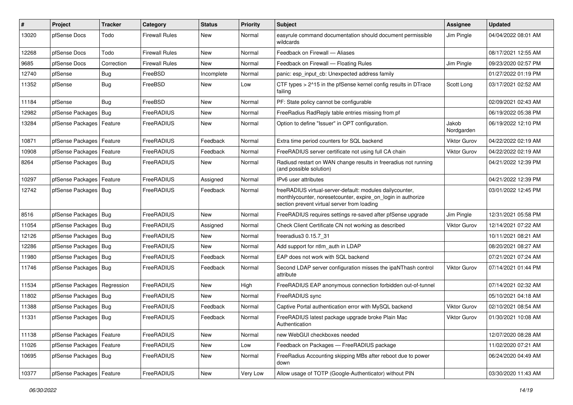| #     | Project                    | <b>Tracker</b> | Category              | <b>Status</b> | <b>Priority</b> | <b>Subject</b>                                                                                                                                                          | Assignee            | <b>Updated</b>      |
|-------|----------------------------|----------------|-----------------------|---------------|-----------------|-------------------------------------------------------------------------------------------------------------------------------------------------------------------------|---------------------|---------------------|
| 13020 | pfSense Docs               | Todo           | <b>Firewall Rules</b> | New           | Normal          | easyrule command documentation should document permissible<br>wildcards                                                                                                 | Jim Pingle          | 04/04/2022 08:01 AM |
| 12268 | pfSense Docs               | Todo           | <b>Firewall Rules</b> | New           | Normal          | Feedback on Firewall - Aliases                                                                                                                                          |                     | 08/17/2021 12:55 AM |
| 9685  | pfSense Docs               | Correction     | Firewall Rules        | New           | Normal          | Feedback on Firewall - Floating Rules                                                                                                                                   | Jim Pingle          | 09/23/2020 02:57 PM |
| 12740 | pfSense                    | Bug            | FreeBSD               | Incomplete    | Normal          | panic: esp_input_cb: Unexpected address family                                                                                                                          |                     | 01/27/2022 01:19 PM |
| 11352 | pfSense                    | <b>Bug</b>     | FreeBSD               | New           | Low             | CTF types > 2^15 in the pfSense kernel config results in DTrace<br>failing                                                                                              | Scott Long          | 03/17/2021 02:52 AM |
| 11184 | pfSense                    | Bug            | FreeBSD               | <b>New</b>    | Normal          | PF: State policy cannot be configurable                                                                                                                                 |                     | 02/09/2021 02:43 AM |
| 12982 | pfSense Packages           | Bug            | FreeRADIUS            | New           | Normal          | FreeRadius RadReply table entries missing from pf                                                                                                                       |                     | 06/19/2022 05:38 PM |
| 13284 | pfSense Packages   Feature |                | FreeRADIUS            | New           | Normal          | Option to define "Issuer" in OPT configuration.                                                                                                                         | Jakob<br>Nordgarden | 06/19/2022 12:10 PM |
| 10871 | pfSense Packages   Feature |                | FreeRADIUS            | Feedback      | Normal          | Extra time period counters for SQL backend                                                                                                                              | Viktor Gurov        | 04/22/2022 02:19 AM |
| 10908 | pfSense Packages           | Feature        | FreeRADIUS            | Feedback      | Normal          | FreeRADIUS server certificate not using full CA chain                                                                                                                   | Viktor Gurov        | 04/22/2022 02:19 AM |
| 8264  | pfSense Packages   Bug     |                | FreeRADIUS            | New           | Normal          | Radiusd restart on WAN change results in freeradius not running<br>(and possible solution)                                                                              |                     | 04/21/2022 12:39 PM |
| 10297 | pfSense Packages           | Feature        | FreeRADIUS            | Assigned      | Normal          | IPv6 user attributes                                                                                                                                                    |                     | 04/21/2022 12:39 PM |
| 12742 | pfSense Packages   Bug     |                | FreeRADIUS            | Feedback      | Normal          | freeRADIUS virtual-server-default: modules dailycounter,<br>monthlycounter, noresetcounter, expire_on_login in authorize<br>section prevent virtual server from loading |                     | 03/01/2022 12:45 PM |
| 8516  | pfSense Packages           | Bug            | FreeRADIUS            | <b>New</b>    | Normal          | FreeRADIUS requires settings re-saved after pfSense upgrade                                                                                                             | Jim Pingle          | 12/31/2021 05:58 PM |
| 11054 | pfSense Packages   Bug     |                | FreeRADIUS            | Assigned      | Normal          | Check Client Certificate CN not working as described                                                                                                                    | <b>Viktor Gurov</b> | 12/14/2021 07:22 AM |
| 12126 | pfSense Packages   Bug     |                | FreeRADIUS            | New           | Normal          | freeradius3 0.15.7_31                                                                                                                                                   |                     | 10/11/2021 08:21 AM |
| 12286 | pfSense Packages   Bug     |                | FreeRADIUS            | New           | Normal          | Add support for ntlm_auth in LDAP                                                                                                                                       |                     | 08/20/2021 08:27 AM |
| 11980 | pfSense Packages           | Bug            | FreeRADIUS            | Feedback      | Normal          | EAP does not work with SQL backend                                                                                                                                      |                     | 07/21/2021 07:24 AM |
| 11746 | pfSense Packages   Bug     |                | FreeRADIUS            | Feedback      | Normal          | Second LDAP server configuration misses the ipaNThash control<br>attribute                                                                                              | <b>Viktor Gurov</b> | 07/14/2021 01:44 PM |
| 11534 | pfSense Packages           | Regression     | FreeRADIUS            | New           | High            | FreeRADIUS EAP anonymous connection forbidden out-of-tunnel                                                                                                             |                     | 07/14/2021 02:32 AM |
| 11802 | pfSense Packages           | Bug            | FreeRADIUS            | New           | Normal          | FreeRADIUS sync                                                                                                                                                         |                     | 05/10/2021 04:18 AM |
| 11388 | pfSense Packages   Bug     |                | FreeRADIUS            | Feedback      | Normal          | Captive Portal authentication error with MySQL backend                                                                                                                  | Viktor Gurov        | 02/10/2021 08:54 AM |
| 11331 | pfSense Packages   Bug     |                | FreeRADIUS            | Feedback      | Normal          | FreeRADIUS latest package upgrade broke Plain Mac<br>Authentication                                                                                                     | <b>Viktor Gurov</b> | 01/30/2021 10:08 AM |
| 11138 | pfSense Packages           | Feature        | FreeRADIUS            | New           | Normal          | new WebGUI checkboxes needed                                                                                                                                            |                     | 12/07/2020 08:28 AM |
| 11026 | pfSense Packages   Feature |                | FreeRADIUS            | New           | Low             | Feedback on Packages - FreeRADIUS package                                                                                                                               |                     | 11/02/2020 07:21 AM |
| 10695 | pfSense Packages   Bug     |                | FreeRADIUS            | New           | Normal          | FreeRadius Accounting skipping MBs after reboot due to power<br>down                                                                                                    |                     | 06/24/2020 04:49 AM |
| 10377 | pfSense Packages           | Feature        | FreeRADIUS            | New           | Very Low        | Allow usage of TOTP (Google-Authenticator) without PIN                                                                                                                  |                     | 03/30/2020 11:43 AM |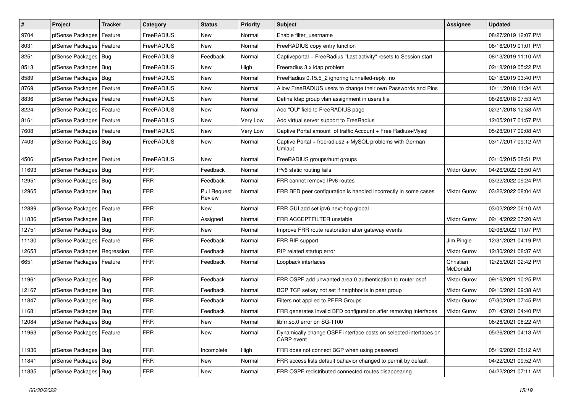| $\vert$ # | Project                       | <b>Tracker</b> | Category   | <b>Status</b>                 | <b>Priority</b> | Subject                                                                         | <b>Assignee</b>       | <b>Updated</b>      |
|-----------|-------------------------------|----------------|------------|-------------------------------|-----------------|---------------------------------------------------------------------------------|-----------------------|---------------------|
| 9704      | pfSense Packages              | Feature        | FreeRADIUS | New                           | Normal          | Enable filter username                                                          |                       | 08/27/2019 12:07 PM |
| 8031      | pfSense Packages   Feature    |                | FreeRADIUS | <b>New</b>                    | Normal          | FreeRADIUS copy entry function                                                  |                       | 08/16/2019 01:01 PM |
| 8251      | pfSense Packages   Bug        |                | FreeRADIUS | Feedback                      | Normal          | Captiveportal + FreeRadius "Last activity" resets to Session start              |                       | 08/13/2019 11:10 AM |
| 8513      | pfSense Packages   Bug        |                | FreeRADIUS | <b>New</b>                    | High            | Freeradius 3.x Idap problem                                                     |                       | 02/18/2019 05:22 PM |
| 8589      | pfSense Packages   Bug        |                | FreeRADIUS | <b>New</b>                    | Normal          | FreeRadius 0.15.5_2 ignoring tunnelled-reply=no                                 |                       | 02/18/2019 03:40 PM |
| 8769      | pfSense Packages   Feature    |                | FreeRADIUS | New                           | Normal          | Allow FreeRADIUS users to change their own Passwords and Pins                   |                       | 10/11/2018 11:34 AM |
| 8836      | pfSense Packages   Feature    |                | FreeRADIUS | New                           | Normal          | Define Idap group vlan assignment in users file                                 |                       | 08/26/2018 07:53 AM |
| 8224      | pfSense Packages   Feature    |                | FreeRADIUS | New                           | Normal          | Add "OU" field to FreeRADIUS page                                               |                       | 02/21/2018 12:53 AM |
| 8161      | pfSense Packages   Feature    |                | FreeRADIUS | New                           | Very Low        | Add virtual server support to FreeRadius                                        |                       | 12/05/2017 01:57 PM |
| 7608      | pfSense Packages   Feature    |                | FreeRADIUS | New                           | Very Low        | Captive Portal amount of traffic Account + Free Radius+Mysql                    |                       | 05/28/2017 09:08 AM |
| 7403      | pfSense Packages   Bug        |                | FreeRADIUS | New                           | Normal          | Captive Portal + freeradius2 + MySQL problems with German<br>Umlaut             |                       | 03/17/2017 09:12 AM |
| 4506      | pfSense Packages   Feature    |                | FreeRADIUS | <b>New</b>                    | Normal          | FreeRADIUS groups/hunt groups                                                   |                       | 03/10/2015 08:51 PM |
| 11693     | pfSense Packages   Bug        |                | <b>FRR</b> | Feedback                      | Normal          | IPv6 static routing fails                                                       | Viktor Gurov          | 04/26/2022 08:50 AM |
| 12951     | pfSense Packages   Bug        |                | <b>FRR</b> | Feedback                      | Normal          | FRR cannot remove IPv6 routes                                                   |                       | 03/22/2022 09:24 PM |
| 12965     | pfSense Packages   Bug        |                | <b>FRR</b> | <b>Pull Request</b><br>Review | Normal          | FRR BFD peer configuration is handled incorrectly in some cases                 | Viktor Gurov          | 03/22/2022 08:04 AM |
| 12889     | pfSense Packages   Feature    |                | <b>FRR</b> | <b>New</b>                    | Normal          | FRR GUI add set ipv6 next-hop global                                            |                       | 03/02/2022 06:10 AM |
| 11836     | pfSense Packages   Bug        |                | <b>FRR</b> | Assigned                      | Normal          | FRR ACCEPTFILTER unstable                                                       | Viktor Gurov          | 02/14/2022 07:20 AM |
| 12751     | pfSense Packages   Bug        |                | <b>FRR</b> | New                           | Normal          | Improve FRR route restoration after gateway events                              |                       | 02/06/2022 11:07 PM |
| 11130     | pfSense Packages   Feature    |                | <b>FRR</b> | Feedback                      | Normal          | FRR RIP support                                                                 | Jim Pingle            | 12/31/2021 04:19 PM |
| 12653     | pfSense Packages   Regression |                | <b>FRR</b> | Feedback                      | Normal          | RIP related startup error                                                       | Viktor Gurov          | 12/30/2021 08:37 AM |
| 6651      | pfSense Packages   Feature    |                | <b>FRR</b> | Feedback                      | Normal          | Loopback interfaces                                                             | Christian<br>McDonald | 12/25/2021 02:42 PM |
| 11961     | pfSense Packages   Bug        |                | <b>FRR</b> | Feedback                      | Normal          | FRR OSPF add unwanted area 0 authentication to router ospf                      | <b>Viktor Gurov</b>   | 09/16/2021 10:25 PM |
| 12167     | pfSense Packages   Bug        |                | <b>FRR</b> | Feedback                      | Normal          | BGP TCP setkey not set if neighbor is in peer group                             | Viktor Gurov          | 09/16/2021 09:38 AM |
| 11847     | pfSense Packages   Bug        |                | <b>FRR</b> | Feedback                      | Normal          | Filters not applied to PEER Groups                                              | <b>Viktor Gurov</b>   | 07/30/2021 07:45 PM |
| 11681     | pfSense Packages   Bug        |                | <b>FRR</b> | Feedback                      | Normal          | FRR generates invalid BFD configuration after removing interfaces               | Viktor Gurov          | 07/14/2021 04:40 PM |
| 12084     | pfSense Packages   Bug        |                | FRR        | New                           | Normal          | libfrr.so.0 error on SG-1100                                                    |                       | 06/26/2021 08:22 AM |
| 11963     | pfSense Packages   Feature    |                | <b>FRR</b> | New                           | Normal          | Dynamically change OSPF interface costs on selected interfaces on<br>CARP event |                       | 05/26/2021 04:13 AM |
| 11936     | pfSense Packages   Bug        |                | <b>FRR</b> | Incomplete                    | High            | FRR does not connect BGP when using password                                    |                       | 05/19/2021 08:12 AM |
| 11841     | pfSense Packages   Bug        |                | <b>FRR</b> | New                           | Normal          | FRR access lists default bahavior changed to permit by default                  |                       | 04/22/2021 09:52 AM |
| 11835     | pfSense Packages   Bug        |                | <b>FRR</b> | New                           | Normal          | FRR OSPF redistributed connected routes disappearing                            |                       | 04/22/2021 07:11 AM |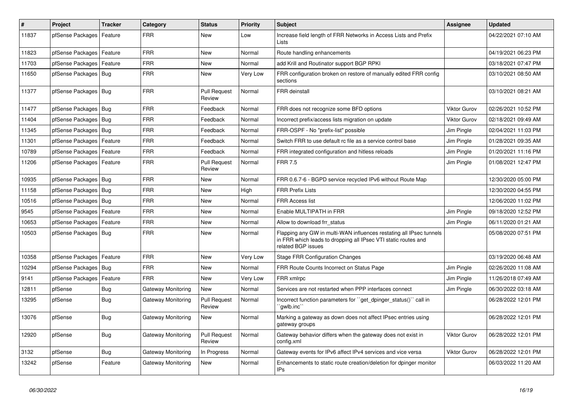| $\vert$ # | Project                    | <b>Tracker</b> | Category           | <b>Status</b>                 | <b>Priority</b> | <b>Subject</b>                                                                                                                                              | <b>Assignee</b>     | <b>Updated</b>      |
|-----------|----------------------------|----------------|--------------------|-------------------------------|-----------------|-------------------------------------------------------------------------------------------------------------------------------------------------------------|---------------------|---------------------|
| 11837     | pfSense Packages           | Feature        | FRR                | <b>New</b>                    | Low             | Increase field length of FRR Networks in Access Lists and Prefix<br>Lists                                                                                   |                     | 04/22/2021 07:10 AM |
| 11823     | pfSense Packages           | Feature        | <b>FRR</b>         | <b>New</b>                    | Normal          | Route handling enhancements                                                                                                                                 |                     | 04/19/2021 06:23 PM |
| 11703     | pfSense Packages           | Feature        | <b>FRR</b>         | <b>New</b>                    | Normal          | add Krill and Routinator support BGP RPKI                                                                                                                   |                     | 03/18/2021 07:47 PM |
| 11650     | pfSense Packages   Bug     |                | <b>FRR</b>         | <b>New</b>                    | Very Low        | FRR configuration broken on restore of manually edited FRR config<br>sections                                                                               |                     | 03/10/2021 08:50 AM |
| 11377     | pfSense Packages   Bug     |                | FRR                | <b>Pull Request</b><br>Review | Normal          | FRR deinstall                                                                                                                                               |                     | 03/10/2021 08:21 AM |
| 11477     | pfSense Packages   Bug     |                | <b>FRR</b>         | Feedback                      | Normal          | FRR does not recognize some BFD options                                                                                                                     | Viktor Gurov        | 02/26/2021 10:52 PM |
| 11404     | pfSense Packages   Bug     |                | <b>FRR</b>         | Feedback                      | Normal          | Incorrect prefix/access lists migration on update                                                                                                           | <b>Viktor Gurov</b> | 02/18/2021 09:49 AM |
| 11345     | pfSense Packages   Bug     |                | <b>FRR</b>         | Feedback                      | Normal          | FRR-OSPF - No "prefix-list" possible                                                                                                                        | Jim Pingle          | 02/04/2021 11:03 PM |
| 11301     | pfSense Packages           | Feature        | <b>FRR</b>         | Feedback                      | Normal          | Switch FRR to use default rc file as a service control base                                                                                                 | Jim Pingle          | 01/28/2021 09:35 AM |
| 10789     | pfSense Packages   Feature |                | <b>FRR</b>         | Feedback                      | Normal          | FRR integrated configuration and hitless reloads                                                                                                            | Jim Pingle          | 01/20/2021 11:16 PM |
| 11206     | pfSense Packages   Feature |                | FRR                | <b>Pull Request</b><br>Review | Normal          | <b>FRR 7.5</b>                                                                                                                                              | Jim Pingle          | 01/08/2021 12:47 PM |
| 10935     | pfSense Packages   Bug     |                | <b>FRR</b>         | <b>New</b>                    | Normal          | FRR 0.6.7-6 - BGPD service recycled IPv6 without Route Map                                                                                                  |                     | 12/30/2020 05:00 PM |
| 11158     | pfSense Packages   Bug     |                | <b>FRR</b>         | <b>New</b>                    | High            | <b>FRR Prefix Lists</b>                                                                                                                                     |                     | 12/30/2020 04:55 PM |
| 10516     | pfSense Packages   Bug     |                | <b>FRR</b>         | <b>New</b>                    | Normal          | <b>FRR Access list</b>                                                                                                                                      |                     | 12/06/2020 11:02 PM |
| 9545      | pfSense Packages           | Feature        | <b>FRR</b>         | <b>New</b>                    | Normal          | Enable MULTIPATH in FRR                                                                                                                                     | Jim Pingle          | 09/18/2020 12:52 PM |
| 10653     | pfSense Packages   Feature |                | <b>FRR</b>         | <b>New</b>                    | Normal          | Allow to download frr status                                                                                                                                | Jim Pingle          | 06/11/2020 01:21 AM |
| 10503     | pfSense Packages   Bug     |                | FRR                | New                           | Normal          | Flapping any GW in multi-WAN influences restating all IPsec tunnels<br>in FRR which leads to dropping all IPsec VTI static routes and<br>related BGP issues |                     | 05/08/2020 07:51 PM |
| 10358     | pfSense Packages           | Feature        | <b>FRR</b>         | <b>New</b>                    | Very Low        | <b>Stage FRR Configuration Changes</b>                                                                                                                      |                     | 03/19/2020 06:48 AM |
| 10294     | pfSense Packages   Bug     |                | <b>FRR</b>         | <b>New</b>                    | Normal          | FRR Route Counts Incorrect on Status Page                                                                                                                   | Jim Pingle          | 02/26/2020 11:08 AM |
| 9141      | pfSense Packages           | Feature        | <b>FRR</b>         | New                           | Very Low        | FRR xmlrpc                                                                                                                                                  | Jim Pingle          | 11/26/2018 07:49 AM |
| 12811     | pfSense                    | Bug            | Gateway Monitoring | <b>New</b>                    | Normal          | Services are not restarted when PPP interfaces connect                                                                                                      | Jim Pingle          | 06/30/2022 03:18 AM |
| 13295     | pfSense                    | <b>Bug</b>     | Gateway Monitoring | <b>Pull Request</b><br>Review | Normal          | Incorrect function parameters for ``get_dpinger_status()`` call in<br>`awlb.inc``                                                                           |                     | 06/28/2022 12:01 PM |
| 13076     | pfSense                    | <b>Bug</b>     | Gateway Monitoring | New                           | Normal          | Marking a gateway as down does not affect IPsec entries using<br>gateway groups                                                                             |                     | 06/28/2022 12:01 PM |
| 12920     | pfSense                    | <b>Bug</b>     | Gateway Monitoring | <b>Pull Request</b><br>Review | Normal          | Gateway behavior differs when the gateway does not exist in<br>config.xml                                                                                   | <b>Viktor Gurov</b> | 06/28/2022 12:01 PM |
| 3132      | pfSense                    | <b>Bug</b>     | Gateway Monitoring | In Progress                   | Normal          | Gateway events for IPv6 affect IPv4 services and vice versa                                                                                                 | <b>Viktor Gurov</b> | 06/28/2022 12:01 PM |
| 13242     | pfSense                    | Feature        | Gateway Monitoring | <b>New</b>                    | Normal          | Enhancements to static route creation/deletion for dpinger monitor<br><b>IPs</b>                                                                            |                     | 06/03/2022 11:20 AM |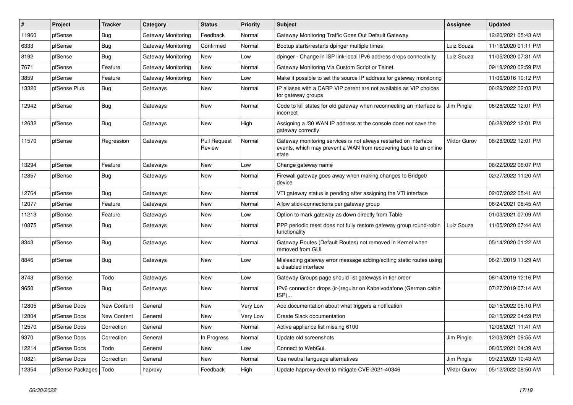| #     | Project                 | <b>Tracker</b>     | Category           | <b>Status</b>                 | <b>Priority</b> | <b>Subject</b>                                                                                                                                 | Assignee            | <b>Updated</b>      |
|-------|-------------------------|--------------------|--------------------|-------------------------------|-----------------|------------------------------------------------------------------------------------------------------------------------------------------------|---------------------|---------------------|
| 11960 | pfSense                 | <b>Bug</b>         | Gateway Monitoring | Feedback                      | Normal          | Gateway Monitoring Traffic Goes Out Default Gateway                                                                                            |                     | 12/20/2021 05:43 AM |
| 6333  | pfSense                 | Bug                | Gateway Monitoring | Confirmed                     | Normal          | Bootup starts/restarts dpinger multiple times                                                                                                  | Luiz Souza          | 11/16/2020 01:11 PM |
| 8192  | pfSense                 | <b>Bug</b>         | Gateway Monitoring | <b>New</b>                    | Low             | dpinger - Change in ISP link-local IPv6 address drops connectivity                                                                             | Luiz Souza          | 11/05/2020 07:31 AM |
| 7671  | pfSense                 | Feature            | Gateway Monitoring | <b>New</b>                    | Normal          | Gateway Monitoring Via Custom Script or Telnet.                                                                                                |                     | 09/18/2020 02:59 PM |
| 3859  | pfSense                 | Feature            | Gateway Monitoring | <b>New</b>                    | Low             | Make it possible to set the source IP address for gateway monitoring                                                                           |                     | 11/06/2016 10:12 PM |
| 13320 | pfSense Plus            | <b>Bug</b>         | Gateways           | <b>New</b>                    | Normal          | IP aliases with a CARP VIP parent are not available as VIP choices<br>for gateway groups                                                       |                     | 06/29/2022 02:03 PM |
| 12942 | pfSense                 | <b>Bug</b>         | Gateways           | <b>New</b>                    | Normal          | Code to kill states for old gateway when reconnecting an interface is<br>incorrect                                                             | Jim Pingle          | 06/28/2022 12:01 PM |
| 12632 | pfSense                 | Bug                | Gateways           | New                           | High            | Assigning a /30 WAN IP address at the console does not save the<br>gateway correctly                                                           |                     | 06/28/2022 12:01 PM |
| 11570 | pfSense                 | Regression         | Gateways           | <b>Pull Request</b><br>Review | Normal          | Gateway monitoring services is not always restarted on interface<br>events, which may prevent a WAN from recovering back to an online<br>state | <b>Viktor Gurov</b> | 06/28/2022 12:01 PM |
| 13294 | pfSense                 | Feature            | Gateways           | <b>New</b>                    | Low             | Change gateway name                                                                                                                            |                     | 06/22/2022 06:07 PM |
| 12857 | pfSense                 | Bug                | Gateways           | <b>New</b>                    | Normal          | Firewall gateway goes away when making changes to Bridge0<br>device                                                                            |                     | 02/27/2022 11:20 AM |
| 12764 | pfSense                 | <b>Bug</b>         | Gateways           | <b>New</b>                    | Normal          | VTI gateway status is pending after assigning the VTI interface                                                                                |                     | 02/07/2022 05:41 AM |
| 12077 | pfSense                 | Feature            | Gateways           | <b>New</b>                    | Normal          | Allow stick-connections per gateway group                                                                                                      |                     | 06/24/2021 08:45 AM |
| 11213 | pfSense                 | Feature            | Gateways           | <b>New</b>                    | Low             | Option to mark gateway as down directly from Table                                                                                             |                     | 01/03/2021 07:09 AM |
| 10875 | pfSense                 | <b>Bug</b>         | Gateways           | <b>New</b>                    | Normal          | PPP periodic reset does not fully restore gateway group round-robin<br>functionality                                                           | Luiz Souza          | 11/05/2020 07:44 AM |
| 8343  | pfSense                 | Bug                | Gateways           | <b>New</b>                    | Normal          | Gateway Routes (Default Routes) not removed in Kernel when<br>removed from GUI                                                                 |                     | 05/14/2020 01:22 AM |
| 8846  | pfSense                 | <b>Bug</b>         | Gateways           | <b>New</b>                    | Low             | Misleading gateway error message adding/editing static routes using<br>a disabled interface                                                    |                     | 08/21/2019 11:29 AM |
| 8743  | pfSense                 | Todo               | Gateways           | <b>New</b>                    | Low             | Gateway Groups page should list gateways in tier order                                                                                         |                     | 08/14/2019 12:16 PM |
| 9650  | pfSense                 | Bug                | Gateways           | <b>New</b>                    | Normal          | IPv6 connection drops (ir-)regular on Kabelvodafone (German cable<br>ISP)                                                                      |                     | 07/27/2019 07:14 AM |
| 12805 | pfSense Docs            | <b>New Content</b> | General            | <b>New</b>                    | Very Low        | Add documentation about what triggers a notfication                                                                                            |                     | 02/15/2022 05:10 PM |
| 12804 | pfSense Docs            | <b>New Content</b> | General            | <b>New</b>                    | Very Low        | Create Slack documentation                                                                                                                     |                     | 02/15/2022 04:59 PM |
| 12570 | pfSense Docs            | Correction         | General            | <b>New</b>                    | Normal          | Active appliance list missing 6100                                                                                                             |                     | 12/06/2021 11:41 AM |
| 9370  | pfSense Docs            | Correction         | General            | In Progress                   | Normal          | Update old screenshots                                                                                                                         | Jim Pingle          | 12/03/2021 09:55 AM |
| 12214 | pfSense Docs            | Todo               | General            | <b>New</b>                    | Low             | Connect to WebGui.                                                                                                                             |                     | 08/05/2021 04:39 AM |
| 10821 | pfSense Docs            | Correction         | General            | <b>New</b>                    | Normal          | Use neutral language alternatives                                                                                                              | Jim Pingle          | 09/23/2020 10:43 AM |
| 12354 | pfSense Packages   Todo |                    | haproxy            | Feedback                      | High            | Update haproxy-devel to mitigate CVE-2021-40346                                                                                                | <b>Viktor Gurov</b> | 05/12/2022 08:50 AM |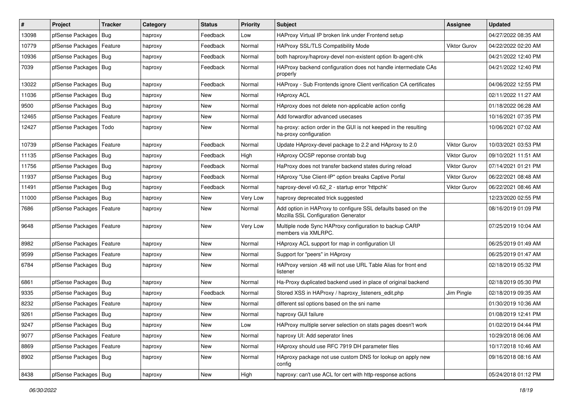| $\vert$ # | Project                 | <b>Tracker</b> | Category | <b>Status</b> | <b>Priority</b> | Subject                                                                                             | <b>Assignee</b>     | <b>Updated</b>      |
|-----------|-------------------------|----------------|----------|---------------|-----------------|-----------------------------------------------------------------------------------------------------|---------------------|---------------------|
| 13098     | pfSense Packages        | Bug            | haproxy  | Feedback      | Low             | HAProxy Virtual IP broken link under Frontend setup                                                 |                     | 04/27/2022 08:35 AM |
| 10779     | pfSense Packages        | Feature        | haproxy  | Feedback      | Normal          | HAProxy SSL/TLS Compatibility Mode                                                                  | <b>Viktor Gurov</b> | 04/22/2022 02:20 AM |
| 10936     | pfSense Packages        | Bug            | haproxy  | Feedback      | Normal          | both haproxy/haproxy-devel non-existent option lb-agent-chk                                         |                     | 04/21/2022 12:40 PM |
| 7039      | pfSense Packages   Bug  |                | haproxy  | Feedback      | Normal          | HAProxy backend configuration does not handle intermediate CAs<br>properly                          |                     | 04/21/2022 12:40 PM |
| 13022     | pfSense Packages        | Bug            | haproxy  | Feedback      | Normal          | HAProxy - Sub Frontends ignore Client verification CA certificates                                  |                     | 04/06/2022 12:55 PM |
| 11036     | pfSense Packages   Bug  |                | haproxy  | New           | Normal          | <b>HAproxy ACL</b>                                                                                  |                     | 02/11/2022 11:27 AM |
| 9500      | pfSense Packages        | <b>Bug</b>     | haproxy  | <b>New</b>    | Normal          | HAproxy does not delete non-applicable action config                                                |                     | 01/18/2022 06:28 AM |
| 12465     | pfSense Packages        | Feature        | haproxy  | New           | Normal          | Add forwardfor advanced usecases                                                                    |                     | 10/16/2021 07:35 PM |
| 12427     | pfSense Packages   Todo |                | haproxy  | New           | Normal          | ha-proxy: action order in the GUI is not keeped in the resulting<br>ha-proxy configuration          |                     | 10/06/2021 07:02 AM |
| 10739     | pfSense Packages        | Feature        | haproxy  | Feedback      | Normal          | Update HAproxy-devel package to 2.2 and HAproxy to 2.0                                              | Viktor Gurov        | 10/03/2021 03:53 PM |
| 11135     | pfSense Packages        | Bug            | haproxy  | Feedback      | High            | HAproxy OCSP reponse crontab bug                                                                    | Viktor Gurov        | 09/10/2021 11:51 AM |
| 11756     | pfSense Packages        | Bug            | haproxy  | Feedback      | Normal          | HaProxy does not transfer backend states during reload                                              | <b>Viktor Gurov</b> | 07/14/2021 01:21 PM |
| 11937     | pfSense Packages   Bug  |                | haproxy  | Feedback      | Normal          | HAproxy "Use Client-IP" option breaks Captive Portal                                                | <b>Viktor Gurov</b> | 06/22/2021 08:48 AM |
| 11491     | pfSense Packages        | Bug            | haproxy  | Feedback      | Normal          | haproxy-devel v0.62 2 - startup error 'httpchk'                                                     | <b>Viktor Gurov</b> | 06/22/2021 08:46 AM |
| 11000     | pfSense Packages        | Bug            | haproxy  | New           | Very Low        | haproxy deprecated trick suggested                                                                  |                     | 12/23/2020 02:55 PM |
| 7686      | pfSense Packages        | Feature        | haproxy  | New           | Normal          | Add option in HAProxy to configure SSL defaults based on the<br>Mozilla SSL Configuration Generator |                     | 08/16/2019 01:09 PM |
| 9648      | pfSense Packages        | Feature        | haproxy  | New           | Very Low        | Multiple node Sync HAProxy configuration to backup CARP<br>members via XMLRPC.                      |                     | 07/25/2019 10:04 AM |
| 8982      | pfSense Packages        | Feature        | haproxy  | New           | Normal          | HAproxy ACL support for map in configuration UI                                                     |                     | 06/25/2019 01:49 AM |
| 9599      | pfSense Packages        | Feature        | haproxy  | New           | Normal          | Support for "peers" in HAproxy                                                                      |                     | 06/25/2019 01:47 AM |
| 6784      | pfSense Packages        | Bug            | haproxy  | New           | Normal          | HAProxy version .48 will not use URL Table Alias for front end<br>listener                          |                     | 02/18/2019 05:32 PM |
| 6861      | pfSense Packages        | Bug            | haproxy  | <b>New</b>    | Normal          | Ha-Proxy duplicated backend used in place of original backend                                       |                     | 02/18/2019 05:30 PM |
| 9335      | pfSense Packages        | Bug            | haproxy  | Feedback      | Normal          | Stored XSS in HAProxy / haproxy listeners edit.php                                                  | Jim Pingle          | 02/18/2019 09:35 AM |
| 8232      | pfSense Packages        | Feature        | haproxy  | <b>New</b>    | Normal          | different ssl options based on the sni name                                                         |                     | 01/30/2019 10:36 AM |
| 9261      | pfSense Packages        | Bug            | haproxy  | New           | Normal          | haproxy GUI failure                                                                                 |                     | 01/08/2019 12:41 PM |
| 9247      | pfSense Packages   Bug  |                | haproxy  | New           | Low             | HAProxy multiple server selection on stats pages doesn't work                                       |                     | 01/02/2019 04:44 PM |
| 9077      | pfSense Packages        | Feature        | haproxy  | New           | Normal          | haproxy UI: Add seperator lines                                                                     |                     | 10/29/2018 06:06 AM |
| 8869      | pfSense Packages        | Feature        | haproxy  | New           | Normal          | HAproxy should use RFC 7919 DH parameter files                                                      |                     | 10/17/2018 10:46 AM |
| 8902      | pfSense Packages   Bug  |                | haproxy  | New           | Normal          | HAproxy package not use custom DNS for lookup on apply new<br>config                                |                     | 09/16/2018 08:16 AM |
| 8438      | pfSense Packages   Bug  |                | haproxy  | New           | High            | haproxy: can't use ACL for cert with http-response actions                                          |                     | 05/24/2018 01:12 PM |